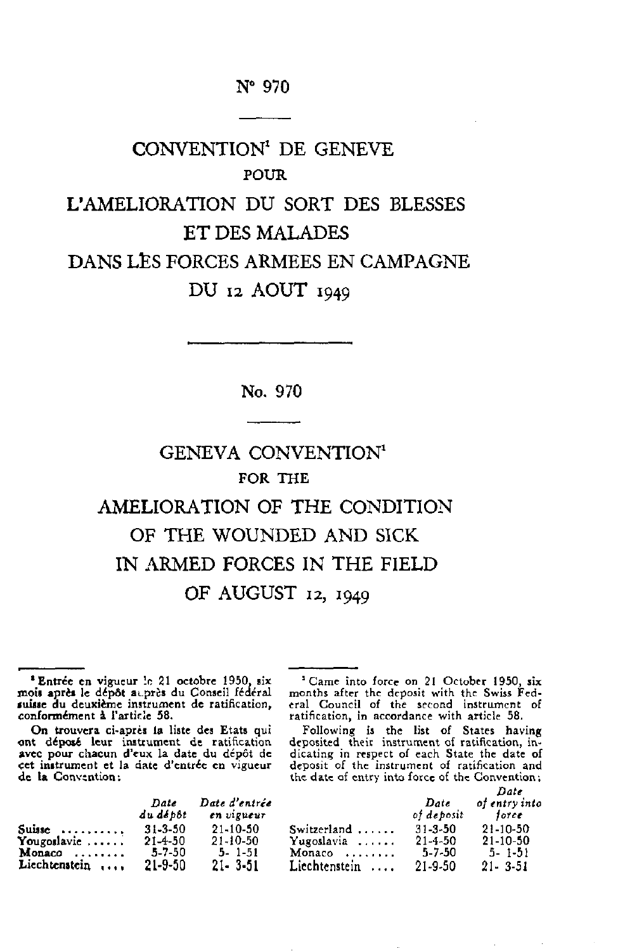## N° 970

## CONVENTION<sup>1</sup> DE GENEVE POUR

L'AMELIORATION DU SORT DES BLESSES ET DES MALADES DANS LES FORCES ARMEES EN CAMPAGNE DU 12 AOUT 1949

No. 970

## GENEVA CONVENTION<sup>1</sup>

## FOR THE

# AMELIORATION OF THE CONDITION OF THE WOUNDED AND SICK IN ARMED FORCES IN THE FIELD OF AUGUST 12, 1949

1 Entrée en vigueur le 21 octobre 1950, six mois après le dépôt auprès du Conseil fédéral suisse du deuxième instrument de ratification, conformément à l'article 58.

**On** trouvera ci-après la liste des Etats qui ont déposé leur instrument de ratification **avec** pour chacun d'eux la date du dépôt de cet instrument et la date d'entrée en vigueur de **la** Convention:

|                  | <b>Date</b><br>du dépôt | Date d'entrée<br>en vigueur |
|------------------|-------------------------|-----------------------------|
| $Suisse  \ldots$ | $31 - 3 - 50$           | 21-10-50                    |
| Yougoslavie      | $21 - 4 - 50$           | 21-10-50                    |
| Monaco           | $5 - 7 - 50$            | $5 - 1 - 51$                |
| Liechtenstein    | $21 - 9 - 50$           | $21 - 3 - 51$               |

<sup>1</sup> Came into force on 21 October 1950, six months after the deposit with the Swiss Fed eral Council of the second instrument of ratification, in accordance with article 58.

Following is the list of States having deposited their instrument of ratification, in dicating in respect of each State the date of deposit of the instrument of ratification and the date of entry into force of the Convention;

|                     | Date<br>du dépôt | Date d'entrée<br>en vigueur |               | Date<br>of deposit | Date<br>of entry into<br>force |
|---------------------|------------------|-----------------------------|---------------|--------------------|--------------------------------|
| $Suisse$ ,,,,,,,,,, | $31 - 3 - 50$    | 21-10-50                    | Switzerland   | $31 - 3 - 50$      | 21-10-50                       |
| Yougoslavie         | 21-4-50          | $21 - 10 - 50$              | Yugoslavia    | $21 - 4 - 50$      | 21-10-50                       |
| $Monaco$            | $5 - 7 - 50$     | $5 - 1 - 51$                | Monaco        | $5 - 7 - 50$       | $5 - 1 - 51$                   |
| Liechtenstein       | $21 - 9 - 50$    | $21 - 3 - 51$               | Liechtenstein | 21-9-50            | $21 - 3 - 51$                  |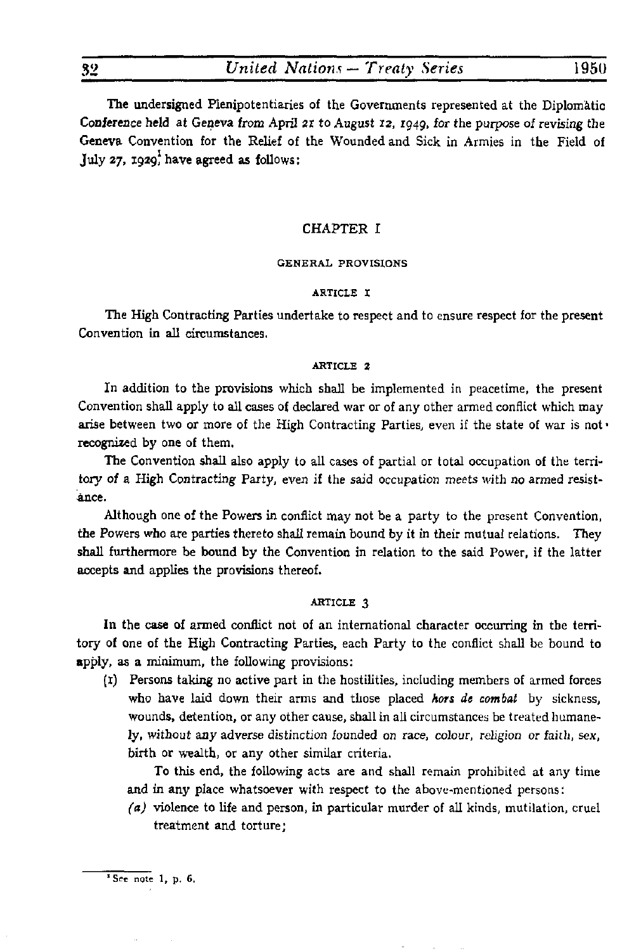The undersigned Plenipotentiaries of the Governments represented at the Diplomatic Conference held at Geneva from April *21* to August *12,* 1949, for the purpose of revising the Geneva Convention for the Relief of the Wounded and Sick in Armies in the Field of July 27, 1929, have agreed as follows:

#### CHAPTER I

#### GENERAL PROVISIONS

#### ARTICLE I

The High Contracting Parties undertake to respect and to ensure respect for the present Convention in all circumstances,

#### ARTICLE 2

In addition to the provisions which shall be implemented in peacetime, the present Convention shall apply to all cases of declared war or of any other armed conflict which may arise between two or more of the High Contracting Parties, even if the state of war is not  $\cdot$ recognized by one of them.

The Convention shall also apply to all cases of partial or total occupation of the terri tory of a High Contracting Party, even if the said occupation meets with no armed resist ance.

Although one of the Powers in conflict may not be a party to the present Convention, the Powers who are parties thereto shall remain bound by it in their mutual relations. They shall furthermore be bound by the Convention in relation to the said Power, if the latter accepts and applies the provisions thereof.

#### ARTICLE 3

In the case of armed conflict not of an international character occurring in the terri tory of one of the High Contracting Parties, each Party to the conflict shall be bound to apply, as a minimum, the following provisions:

(i) Persons taking no active part in the hostilities, including members of armed forces who have laid down their arms and those placed *hors de combat* by sickness, wounds, detention, or any other cause, shall in all circumstances be treated humane ly, without any adverse distinction founded on race, colour, religion or faith, sex, birth or wealth, or any other similar criteria.

To this end, the following acts are and shall remain prohibited at any time and in any place whatsoever with respect to the above-mentioned persons:

*(a)* violence to life and person, in particular murder of all kinds, mutilation, cruel treatment and torture;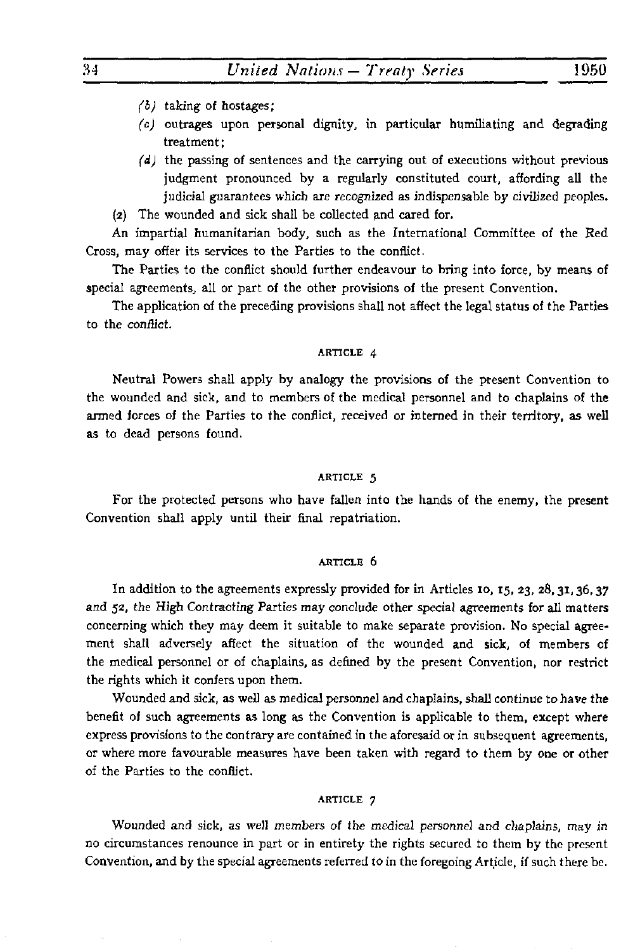- *(b)* taking of hostages;
- *(c)* outrages upon personal dignity, in particular humiliating and degrading treatment ;
- *(d)* the passing of sentences and the carrying out of executions without previous judgment pronounced by a regularly constituted court, affording all the judicial guarantees which are recognized as indispensable by civilized peoples.
- (2) The wounded and sick shall be collected and cared for.

An impartial humanitarian body, such as the International Committee of the Red Cross, may offer its services to the Parties to the conflict.

The Parties to the conflict should further endeavour to bring into force, by means of special agreements, all or part of the other provisions of the present Convention,

The application of the preceding provisions shall not affect the legal status of the Parties to the conflict.

## ARTICLE 4

Neutral Powers shall apply by analogy the provisions of the present Convention to the wounded and sick, and to members of the medical personnel and to chaplains of the armed forces of the Parties to the conflict, received or interned in their territory, as well as to dead persons found.

#### ARTICLE 5

For the protected persons who have fallen into the hands of the enemy, the present Convention shall apply until their final repatriation.

### ARTICLE 6

In addition to the agreements expressly provided for in Articles 10, 15, 23, 28, 31, 36, 37 and 52, the High Contracting Parties may conclude other special agreements for all matters concerning which they may deem it suitable to make separate provision. No special agree ment shall adversely affect the situation of the wounded and sick, of members of the medical personnel or of chaplains, as denned by the present Convention, nor restrict the rights which it confers upon them.

Wounded and sick, as well as medical personnel and chaplains, shall continue to have the benefit of such agreements as long as the Convention is applicable to them, except where express provisions to the contrary are contained in the aforesaid or in subsequent agreements, or where more favourable measures have been taken with regard to them by one or other of the Parties to the conflict.

#### ARTICLE 7

Wounded and sick, as well members of the medical personnel and chaplains, may in no circumstances renounce in part or in entirety the rights secured to them by the present Convention, and by the special agreements referred to in the foregoing Article, if such there be.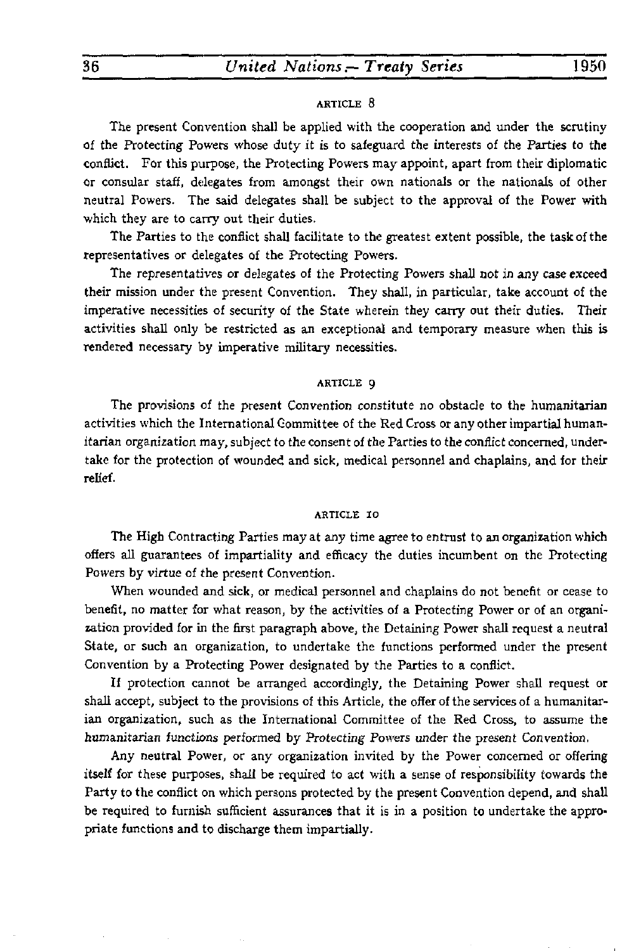The present Convention shall be applied with the cooperation and under the scrutiny of the Protecting Powers whose duty it is to safeguard the interests of the Parties to the conflict. For this purpose, the Protecting Powers may appoint, apart from their diplomatic or consular staff, delegates from amongst their own nationals or the nationals of other neutral Powers. The said delegates shall be subject to the approval of the Power with which they are to carry out their duties.

The Parties to the conflict shall facilitate to the greatest extent possible, the task of the representatives or delegates of the Protecting Powers.

The representatives or delegates of the Protecting Powers shall not in any case exceed their mission under the present Convention. They shall, in particular, take account of the imperative necessities of security of the State wherein they cany out their duties. Their activities shall only be restricted as an exceptional and temporary measure when this is rendered necessary by imperative military necessities.

#### ARTICLE 9

The provisions of the present Convention constitute no obstacle to the humanitarian activities which the International Committee of the Red Cross or any other impartial human itarian organization may, subject to the consent of the Parties to the conflict concerned, under take for the protection of wounded and sick, medical personnel and chaplains, and for their relief.

#### ARTICLE **10**

The High Contracting Parties may at any time agree to entrust to an organization which offers all guarantees of impartiality and efficacy the duties incumbent on the Protecting Powers by virtue of the present Convention.

When wounded and sick, or medical personnel and chaplains do not benefit or cease to benefit, no matter for what reason, by the activities of a Protecting Power or of an organi zation provided for in the first paragraph above, the Detaining Power shall request a neutral State, or such an organization, to undertake the functions performed under the present Convention by a Protecting Power designated by the Parties to a conflict.

If protection cannot be arranged accordingly, the Detaining Power shall request or shall accept, subject to the provisions of this Article, the offer of the services of a humanitar ian organization, such as the International Committee of the Red Cross, to assume the humanitarian functions performed by Protecting Powers under the present Convention,

Any neutral Power, or any organization invited by the Power concerned or offering itself for these purposes, shall be required to act with a sense of responsibility towards the Party to the conflict on which persons protected by the present Convention depend, and shall be required to furnish sufficient assurances that it is in a position to undertake the appro priate functions and to discharge them impartially.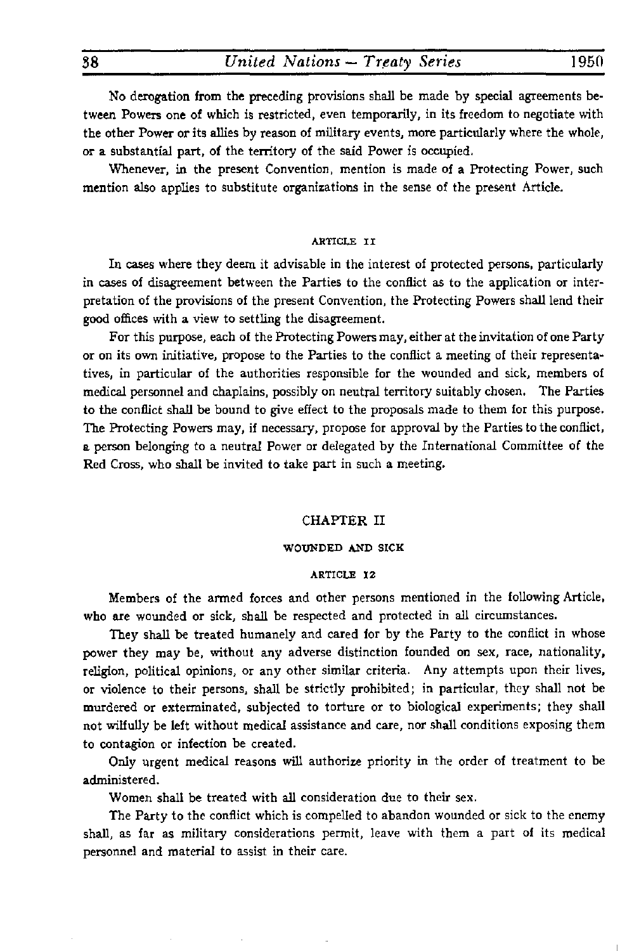No derogation from the preceding provisions shall be made by special agreements be tween Powers one of which is restricted, even temporarily, in its freedom to negotiate with the other Power or its allies by reason of military events, more particularly where the whole, or a substantial part, of the territory of the said Power is occupied.

**Whenever, in the present** Convention, mention is made **of a Protecting Power, such mention also** applies to substitute **organizations** in **the** sense **of** the **present** Article.

#### ARTICLE II

In cases where they deem it advisable in the interest of protected persons, particularly in cases of disagreement between the Parties to the conflict as to the application or inter pretation of the provisions of the present Convention, the Protecting Powers shall lend their good offices with a view to settling the disagreement.

For this purpose, each of the Protecting Powers may, either at the invitation of one Party or on its own initiative, propose to the Parties to the conflict a meeting of their representa tives, in particular of the authorities responsible for the wounded and sick, members of medical personnel and chaplains, possibly on neutral territory suitably chosen. The Parties to the conflict shall be bound to give effect to the proposals made to them for this purpose. The Protecting Powers may, if necessary, propose for approval by the Parties to the conflict, a person belonging to a neutral Power or delegated by the International Committee of the Red Cross, who shall be invited to take part in such a meeting.

#### CHAPTER II

#### WOUNDED AND SICK

#### ARTICLE 12

Members of the armed forces and other persons mentioned in the following Article, who are wounded or sick, shall be respected and protected in all circumstances.

They shall be treated humanely and cared for by the Party to the conflict in whose power they may be, without any adverse distinction founded on sex, race, nationality, religion, political opinions, or any other similar criteria. Any attempts upon their lives, or violence to their persons, shall be strictly prohibited; in particular, they shall not be murdered or exterminated, subjected to torture or to biological experiments; they shall not wilfully be left without medical assistance and care, nor shall conditions exposing them to contagion or infection be created.

Only urgent medical reasons will authorize priority in the order of treatment to be administered.

Women shall be treated with all consideration due to their sex.

The Party to the conflict which is compelled to abandon wounded or sick to the enemy shall, as far as military considerations permit, leave with them a part of its medical personnel and material to assist in their care.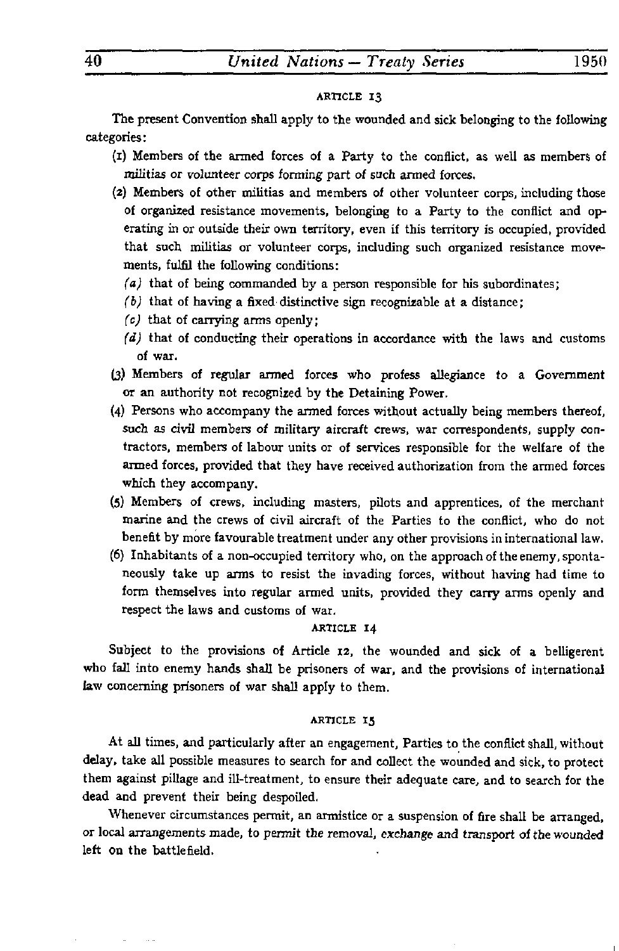The present Convention shall apply to the wounded and sick belonging to the following categories:

- (1) Members of the armed forces of a Party to the conflict, as well as members of militias or volunteer corps forming part of such armed forces.
- **(2) Members of other militias and members of other volunteer** corps, **including** those **of organized resistance movements, belonging to a** Party to the **conflict and op erating in or outside their own territory, even if this territory is occupied, provided that such** militias **or volunteer corps, including such organized resistance move ments, fulfil the following conditions:** 
	- *(a)* that of being commanded by a person responsible for his subordinates;
	- *(b)* that of having a fixed distinctive sign recognizable at a distance;
	- *(c)* that **of carrying arms openly;**
	- *(d)* that of conducting their operations in accordance with the laws and customs of war.
- (3) Members of regular armed forces who profess allegiance to a Government or an authority not recognized by the Detaining Power.
- (4) Persons who accompany the armed forces without actually being members thereof, such as civil members of military aircraft crews, war correspondents, supply con tractors, members of labour units or of services responsible for the welfare of the armed forces, provided that they have received authorization from the armed forces which they accompany,
- **(5) Members of crews, including** masters, **pilots and apprentices, of the merchant marine and the crews of** civil aircraft of **the Parties** to **the** conflict, **who do** not **benefit by more favourable treatment under any other** provisions in international law.
- (6) Inhabitants **of** a **non-occupied territory** who, on the approach of the enemy, sponta neously **take up arms to resist the invading forces,** without **having had time to form themselves** into **regular armed units, provided they carry** arms openly **and respect** the laws **and customs of war.**

## ARTICLE 14

Subject to the provisions of Article 12, the wounded and sick of a belligerent who fall into enemy hands shall be prisoners of war, and the provisions of international law concerning prisoners of war shall apply to them.

#### ARTICLE 15

At all times, and particularly after an engagement, Parties to the conflict shall, without delay, take all possible measures to search for and collect the wounded and sick, to protect them against pillage and ill-treatment, to ensure their adequate care, and to search for the dead and prevent their being despoiled.

Whenever **circumstances permit, an armistice or a** suspension **of fire** shall be **arranged, or local** arrangements made, to permit the **removal, exchange and transport of the wounded left on the battlefield.**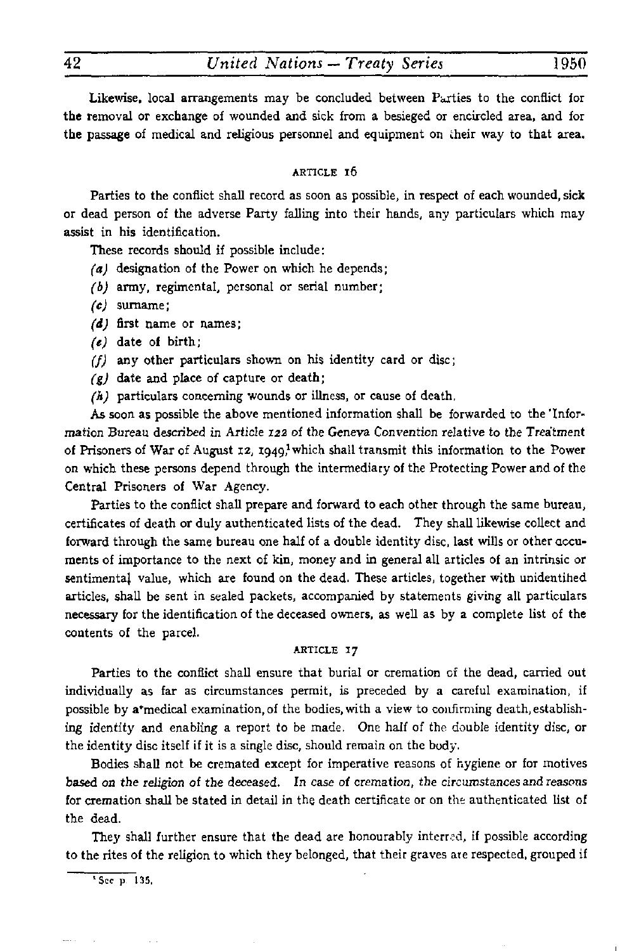## 42 *United Nations — Treaty Series* 1950

Likewise, local arrangements may be concluded between Parties to the conflict for the removal or exchange of wounded and sick from a besieged or encircled area, and for the passage of medical and religious personnel and equipment on cheir way to that area.

#### ARTICLE 16

Parties to the conflict shall record as soon as possible, in respect of each wounded, sick or dead person of the adverse Party falling into their hands, any particulars which may assist in his identification.

These records should if possible include :

- *(a)* designation of the Power on which he depends;
- *(b)* army, regimental, personal or serial number;
- *(c)* surname ;
- *(d)* first name or names;
- *(e)* date of birth;
- *(f)* anv other particulars shown on his identity card or disc;
- *(g)* date and place of capture or death;
- *(h)* particulars concerning wounds or illness, or cause of death.

As soon as possible the above mentioned information shall be forwarded to the 'Infor mation Bureau described in Article 122 of the Geneva Convention relative to the Treatment of Prisoners of War of August 12, 1949, which shall transmit this information to the Power on which these persons depend through the intermediary of the Protecting Power and of the Central Prisoners of War Agency.

Parties to the conflict shall prepare and forward to each other through the same bureau, certificates of death or duly authenticated lists of the dead. They shall likewise collect and forward through the same bureau one half of a double identity disc, last wills or other accuments of importance to the next of kin, money and in general all articles of an intrinsic or sentimental value, which are found on the dead. These articles, together with unidentified articles, shall be sent in sealed packets, accompanied by statements giving all particulars necessary for the identification of the deceased owners, as well as by a complete list of the contents of the parcel.

## ARTICLE 17

Parties to the conflict shall ensure that burial or cremation of the dead, carried out individually as far as circumstances permit, is preceded by a careful examination, if possible by a'medical examination, of the bodies, with a view to confirming death, establish ing identity and enabling a report to be made. One half of the double identity disc, or the identity disc itself if it is a single disc, should remain on the body.

Bodies shall not be cremated except for imperative reasons of hygiene or for motives based on the religion of the deceased. In case of cremation, the circumstances and reasons for cremation shall be stated in detail in the death certificate or on the authenticated list of the dead.

They shall further ensure that the dead are honourably interred, if possible according to the rites of the religion to which they belonged, that their graves are respected, grouped if

See p. 135.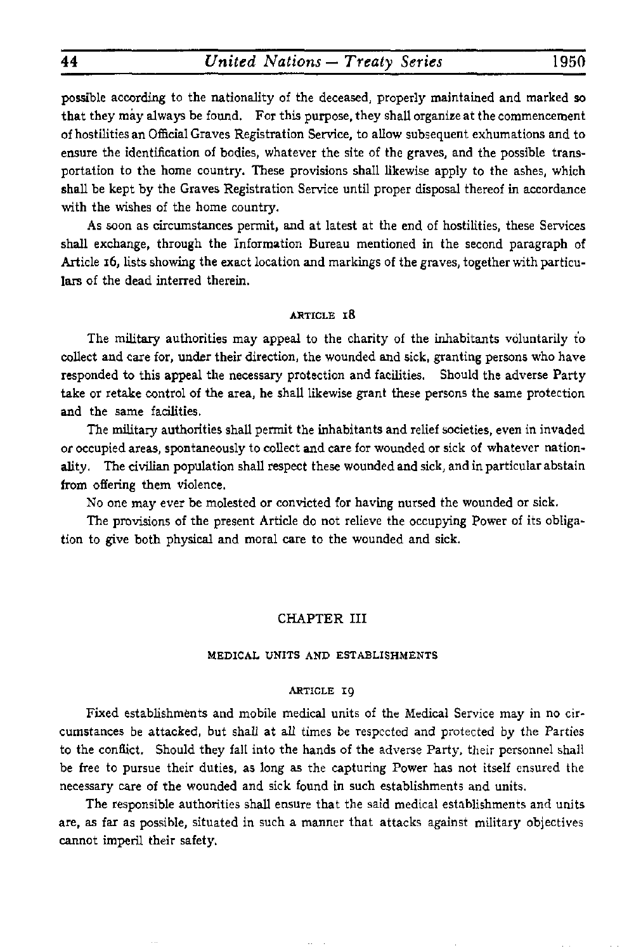## **44\_\_\_\_ \_\_\_\_***United Nations* — *Treaty Series* \_\_**<sup>1950</sup>**

possible according to the nationality of the deceased, properly maintained and marked so that they may always be found. For this purpose, they shall organize at the commencement of hostilities an Official Graves Registration Service, to allow subsequent exhumations and to ensure the identification of bodies, whatever the site of the graves, and the possible trans portation to the home country. These provisions shall likewise apply to the ashes, which shall be kept by the Graves Registration Service until proper disposal thereof in accordance

with the wishes of the home country.

As soon as circumstances permit, and at latest at the end of hostilities, these Services shall exchange, through the Information Bureau mentioned in the second paragraph of Article 16, lists showing the exact location and markings of the graves, together with particu lars of the dead interred therein.

#### ARTICLE 18

The military authorities may appeal to the charity of the inhabitants voluntarily to collect and care for, under their direction, the wounded and sick, granting persons who have responded to this appeal the necessary protection and facilities. Should the adverse Party take or retake control of the area, he shall likewise grant these persons the same protection and the same facilities.

The military authorities shall permit the inhabitants and relief societies, even in invaded or occupied areas, spontaneously to collect and care for wounded or sick of whatever nation ality. The civilian population shall respect these wounded and sick, and in particular abstain from offering them violence.

No one may ever be molested or convicted for having nursed the wounded or sick.

The provisions of the present Article do not relieve the occupying Power of its obliga tion to give both physical and moral care to the wounded and sick.

#### CHAPTER III

#### **MEDICAL** UNITS AND ESTABLISHMENTS

#### ARTICLE **19**

Fixed establishments and mobile medical units of the Medical Service may in no cir cumstances be attacked, but shall at all times be respected and protected by the Parties to the conflict. Should they fall into the hands of the adverse Party, their personnel shall be free to pursue their duties, as long as the capturing Power has not itself ensured the necessary care of the wounded and sick found in such establishments and units.

The responsible authorities shall ensure that the said medical establishments and units are, as far as possible, situated in such a manner that attacks against military objectives cannot imperil their safety.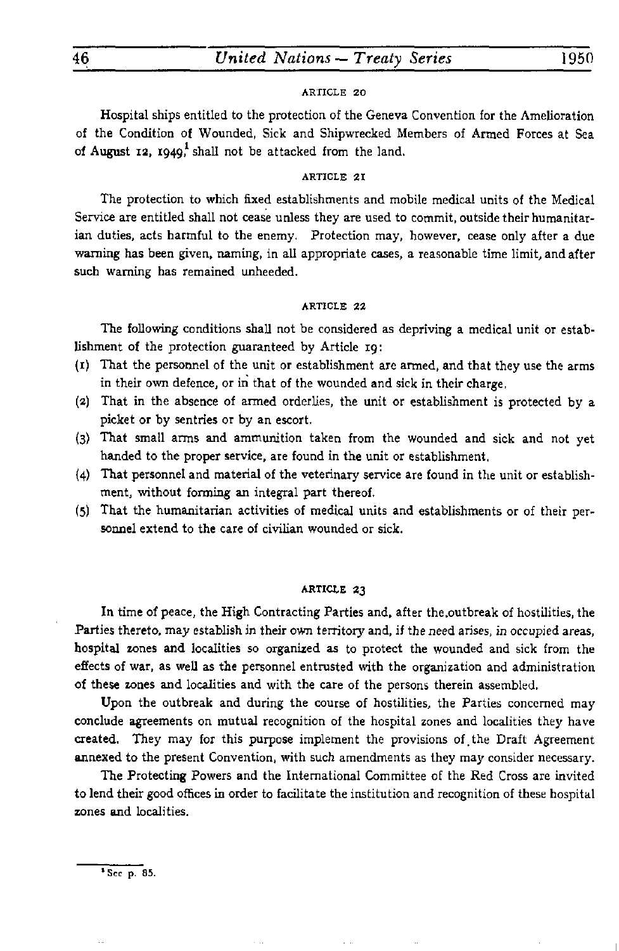Hospital ships entitled to the protection of the Geneva Convention for the Amelioration of the Condition of Wounded, Sick and Shipwrecked Members of Armed Forces at Sea of August 12, 1949, shall not be attacked from the land.

#### ARTICLE 21

The protection to which fixed establishments and mobile medical units of the Medical Service are entitled shall not cease unless they are used to commit, outside their humanitar ian duties, acts harmful to the enemy. Protection may, however, cease only after a due warning has been given, naming, in all appropriate cases, a reasonable time limit, and after such warning has remained unheeded.

#### ARTICLE 22

The following conditions shall not be considered as depriving a medical unit or estab lishment of the protection guaranteed by Article 19:

- (1) That the personnel of the unit or establishment are armed, and that they use the arms in their own defence, or in that of the wounded and sick in their charge,
- (2) That in the absence of armed orderlies, the unit or establishment is protected by a picket or by sentries or by an escort,
- (3) That small arms and ammunition taken from the wounded and sick and not yet handed to the proper service, are found in the unit or establishment.
- (4) That personnel and material of the veterinary service are found in the unit or establish ment, without forming an integral part thereof.
- (5) That the humanitarian activities of medical units and establishments or of their per sonnel extend to the care of civilian wounded or sick.

#### **ARTICLE 23**

In time of peace, the High Contracting Parties and, after the.outbreak of hostilities, the Parties thereto, may establish in their own territory and, if the need arises, in occupied areas, hospital zones and localities so organized as to protect the wounded and sick from the effects of war, as well as the personnel entrusted with the organization and administration of these zones and localities and with the care of the persons therein assembled.

Upon the outbreak and during the course of hostilities, the Parties concerned may conclude agreements on mutual recognition of the hospital zones and localities they have created. They may for this purpose implement the provisions of.the Draft Agreement annexed to the present Convention, with such amendments as they may consider necessary.

The Protecting Powers and the International Committee of the Red Cross are invited to lend their good offices in order to facilitate the institution and recognition of these hospital zones and localities.

**'Sec** p. **85.**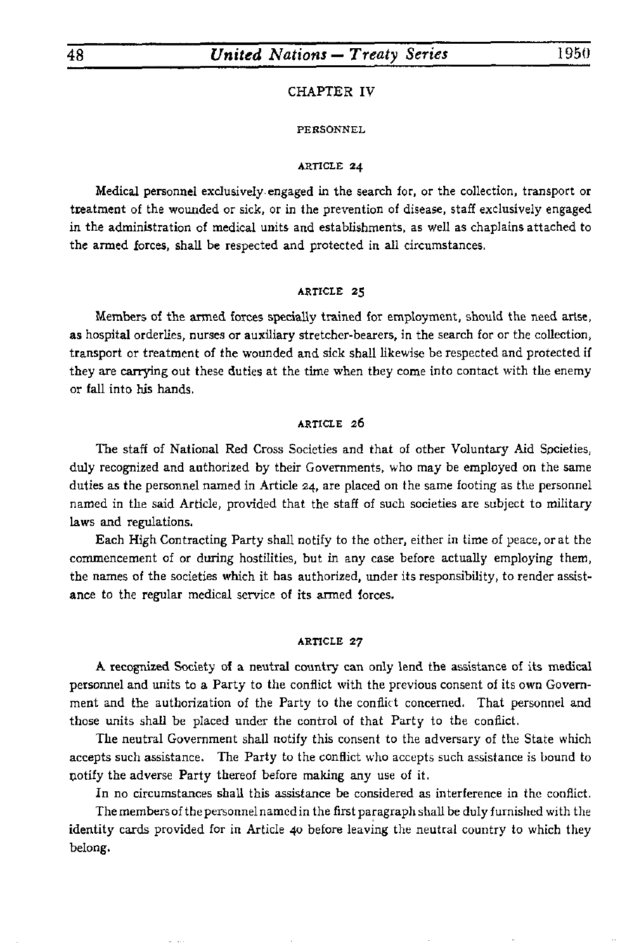## CHAPTER IV

#### PERSONNEL

#### **ARTICLE 24**

Medical personnel exclusively, engaged in the search for, or the collection, transport or treatment of the wounded or sick, or in the prevention of disease, staff exclusively engaged in the administration of medical units and establishments, as well as chaplains attached to the armed forces, shall be respected and protected in all circumstances.

#### ARTICLE 25

Members of the armed forces specially trained for employment, should the need arise, as hospital orderlies, nurses or auxiliary stretcher-bearers, in the search for or the collection, transport or treatment of the wounded and sick shall likewise be respected and protected if they are carrying out these duties at the time when they come into contact with the enemy or fall into his hands.

#### ARTICLE **20**

The staff of National Red Cross Societies and that of other Voluntary Aid Societies, duly recognized and authorized by their Governments, who may be employed on the same duties as the personnel named in Article 24, are placed on the same footing as the personnel named in the said Article, provided that the staff of such societies are subject to military laws and regulations,

Each High Contracting Party shall notify to the other, either in time of peace, or at the commencement of or during hostilities, but in any case before actually employing them, the names of the societies which it has authorized, under its responsibility, to render assist ance to the regular medical service of its armed forces.

#### **ARTICLE 27**

A recognized Society of a neutral country can only lend the assistance of its medical personnel and units to a Party to the conflict with the previous consent of its own Govern ment and the authorization of the Party to the conflict concerned. That personnel and those units shall be placed under the control of that Party to the conflict.

The neutral Government shall notify this consent to the adversary of the State which accepts such assistance. The Party to the conflict who accepts such assistance is bound to notify the adverse Party thereof before making any use of it.

In no circumstances shall this assistance be considered as interference in the conflict.

The members of the personnel named in the first paragraph shall be duly furnished with the identity cards provided for in Article 40 before leaving the neutral country to which they belong.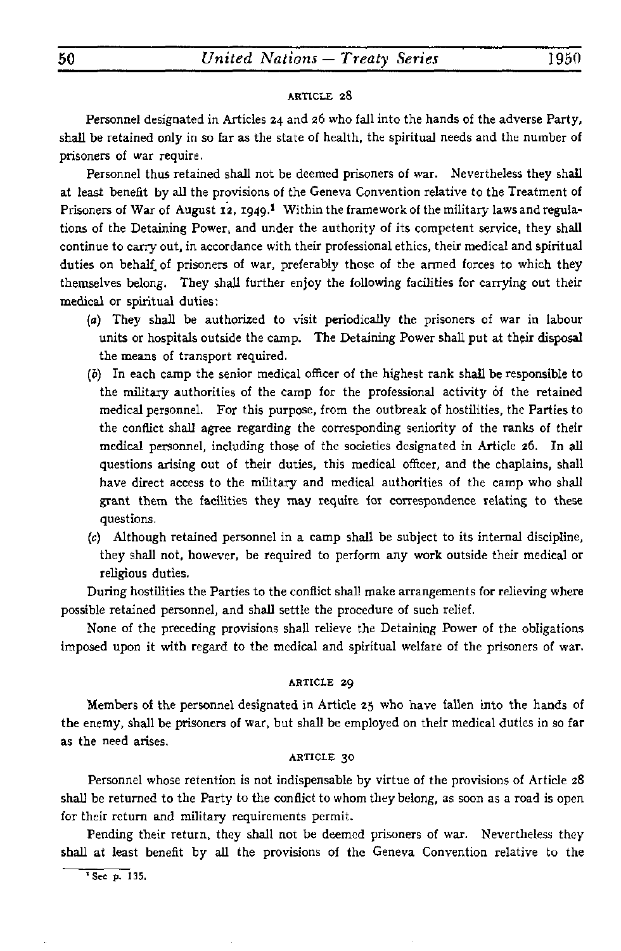Personnel designated in Articles 24 and 26 who fall into the hands of the adverse Party, shall be retained only in so far as the state of health, the spiritual needs and the number of prisoners of war require.

Personnel thus retained shall not be deemed prisoners of war. Nevertheless they shall at least benefit by all the provisions of the Geneva Convention relative to the Treatment of Prisoners of War of August 12, 1949.<sup>1</sup> Within the framework of the military laws and regulations of the Detaining Power, and under the authority of its competent service, they shall continue to carry out, in accordance with their professional ethics, their medical and spiritual duties on behalf, of prisoners of war, preferably those of the armed forces to which they themselves belong. They shall further enjoy the following facilities for carrying out their medical or spiritual duties:

- *(a)* **They** shall **be authorized to visit periodically** the prisoners of **war** in **labour**  units or hospitals **outside the camp. The Detaining Power** shall put **at their disposal the means of** transport **required.**
- (6) In each camp the senior medical officer of the highest rank shall be responsible to the military authorities of the camp for the professional activity of the retained medical personnel. For this purpose, from the outbreak of hostilities, the Parties to the conflict shall agree regarding the corresponding seniority of the ranks of their medical personnel, including those of the societies designated in Article 26. In all questions arising out of their duties, this medical officer, and the chaplains, shall have direct access to the military and medical authorities of the camp who shall grant them the facilities they may require for correspondence relating to these questions.
- (c) Although retained personnel in a camp shall be subject to its internal discipline, they shall not, however, be required to perform any work outside their medical or religious duties.

During hostilities the Parties to the conflict shall make arrangements for relieving where possible retained personnel, and shall settle the procedure of such relief.

None of the preceding provisions shall relieve the Detaining Power of the obligations imposed upon it with regard to the medical and spiritual welfare of the prisoners of war.

## ARTICLE 29

Members of the personnel designated in Article 25 who have fallen into the hands of the enemy, shall be prisoners of war, but shall be employed on their medical duties in so far as the need arises.

### **ARTICLE 30**

Personnel whose retention is not indispensable by virtue of the provisions of Article 28 shall be returned to the Party to the conflict to whom they belong, as soon as a road is open for their return and military requirements permit.

Pending their return, they shall not be deemed prisoners of war. Nevertheless they shall at least benefit by all the provisions of the Geneva Convention relative to the

'See p. 135.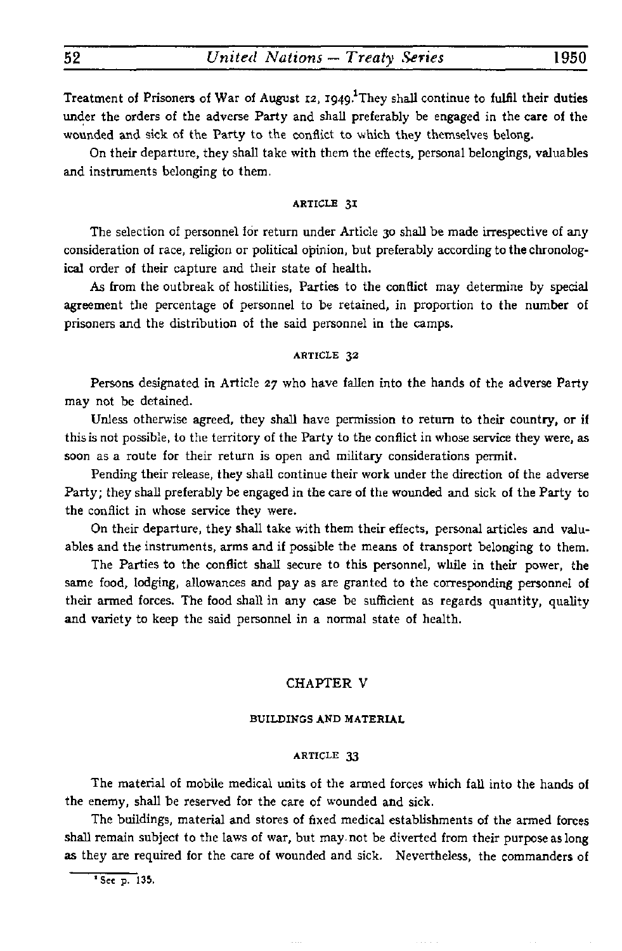Treatment of Prisoners of War of August  $12$ ,  $1949$ .<sup>1</sup>They shall continue to fulfil their duties under the orders of the adverse Party and shall preferably be engaged in the care of the wounded and sick of the Party to the conflict to which they themselves belong.

On their departure, they shall take with them the effects, personal belongings, valuables and instruments belonging to them.

#### ARTICLE 31

The selection of personnel for return under Article 30 shall be made irrespective of any consideration of race, religion or political opinion, but preferably according to the chronolog ical order of their capture and their state of health.

As from the outbreak of hostilities, Parties to the conflict may determine by special agreement the percentage of personnel to be retained, in proportion to the number of prisoners and the distribution of the said personnel in the camps.

#### ARTICLE **32**

Persons designated in Article 27 who have fallen into the hands of the adverse Party may not be detained.

Unless otherwise agreed, they shall have permission to return to their country, or if this is not possible, to the territory of the Party to the conflict in whose service they were, as soon as a route for their return is open and military considerations permit.

Pending their release, they shall continue their work under the direction of the adverse Party; they shall preferably be engaged in the care of the wounded and sick of the Party to the conflict in whose service they were.

On their departure, they shall take with them their effects, personal articles and valu ables and the instruments, arms and if possible the means of transport belonging to them.

The Parties to the conflict shall secure to this personnel, while in their power, the same food, lodging, allowances and pay as are granted to the corresponding personnel of their armed forces. The food shall in any case be sufficient as regards quantity, quality and variety to keep the said personnel in a normal state of health.

### CHAPTER V

#### **BUILDINGS AND MATERIAL**

#### ARTICLE **33**

The material of mobile medical units of the armed forces which fall into the hands of the enemy, shall be reserved for the care of wounded and sick.

The buildings, material and stores of fixed medical establishments of the armed forces shall remain subject to the laws of war, but may. not be diverted from their purpose as long as they are required for the care of wounded and sick. Nevertheless, the commanders of

'See p. 135.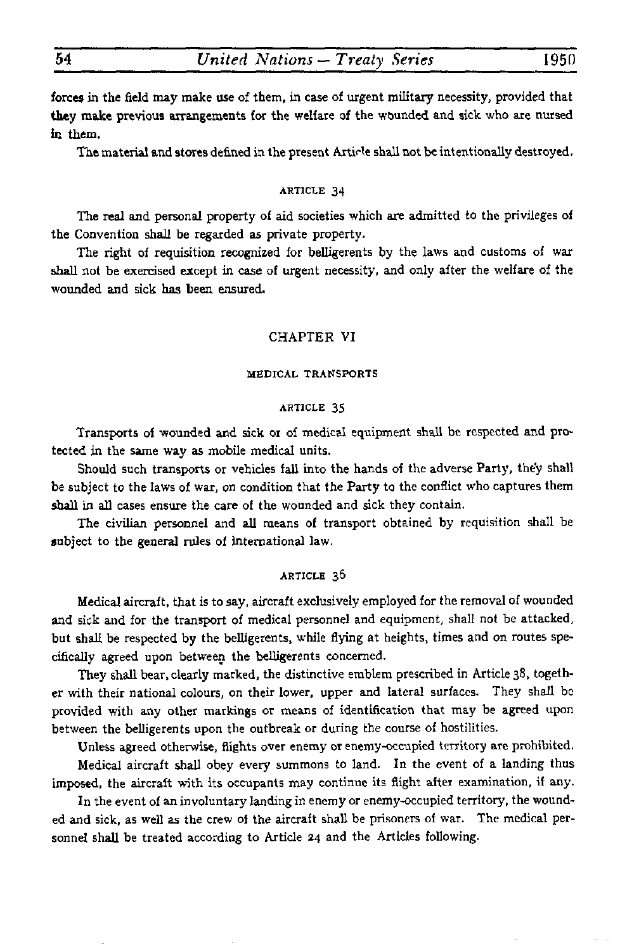forces in the field may make use of them, in case of urgent military necessity, provided that they make previous arrangements for the welfare of the wounded and sick who are nursed in them.

The material and stores defined in the present Article shall not be intentionally destroyed.

#### ARTICLE **34**

The real and personal property of aid societies which are admitted to the privileges of the Convention shall be regarded as private property.

The right of requisition recognized for belligerents by the laws and customs of war shall not be exercised except in case of urgent necessity, and only after the welfare of the wounded and sick has been ensured.

## CHAPTER VI

#### **MEDICAL** TRANSPORTS

#### **ARTICLE 35**

Transports of wounded and sick or of medical equipment shall be respected and pro tected in the same way as mobile medical units.

Should such transports or vehicles fall into the hands of the adverse Party, they shall be subject to the laws of war, on condition that the Party to the conflict who captures them shall in all cases ensure the care of the wounded and sick they contain.

The civilian personnel and all means of transport obtained by requisition shall be subject to the general rules of international law.

#### ARTICLE **36**

Medical aircraft, that is to say, aircraft exclusively employed for the removal of wounded and sick and for the transport of medical personnel and equipment, shall not be attacked, but shall be respected by the belligerents, while flying at heights, times and on routes spe cifically agreed upon between the belligerents concerned.

They shall bear, clearly marked, the distinctive emblem prescribed in Article 38, togeth er with their national colours, on their lower, upper and lateral surfaces. They shall be provided with any other markings or means of identification that may be agreed upon between the belligerents upon the outbreak or during the course of hostilities.

Unless agreed otherwise, flights over enemy or enemy-occupied territory are prohibited.

Medical aircraft shall obey every summons to land. In the event of a landing thus imposed, the aircraft with its occupants may continue its flight after examination, if any.

In the event of an involuntary landing in enemy or enemy-occupied territory, the wound ed and sick, as well as the crew of the aircraft shall be prisoners of war. The medical per sonnel shall be treated according to Article 24 and the Articles following.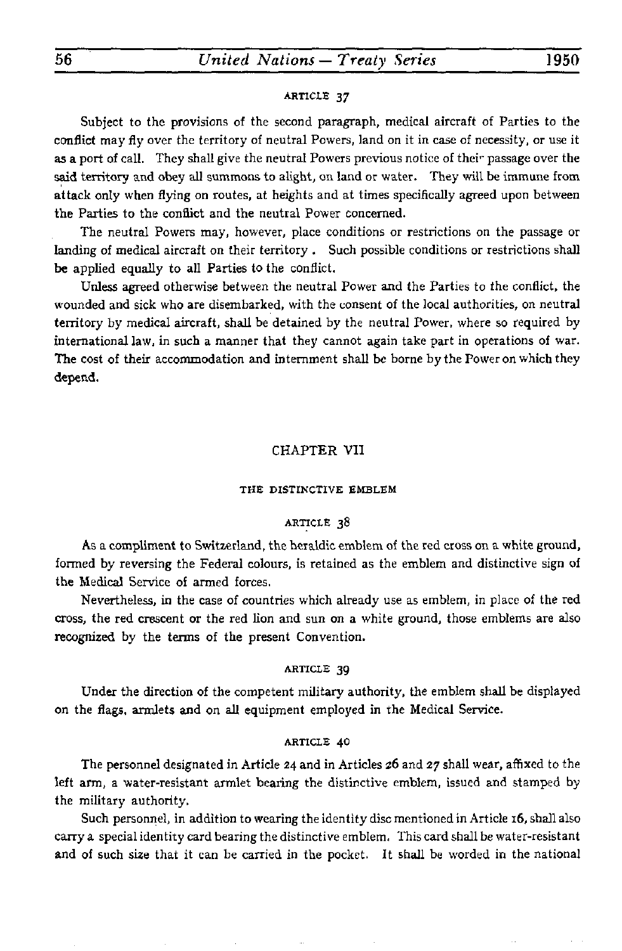Subject to the provisions of the second paragraph, medical aircraft of Parties to the conflict may fly over the territory of neutral Powers, land on it in case of necessity, or use it as a port of call. They shall give the neutral Powers previous notice of ther passage over the said territory and obey all summons to alight, on land or water. They will be immune from attack only when flying on routes, at heights and at times specifically agreed upon between the Parties to the conflict and the neutral Power concerned.

The neutral Powers may, however, place conditions or restrictions on the passage or landing of medical aircraft on their territory . Such possible conditions or restrictions shall be applied equally to all Parties to the conflict.

Unless agreed otherwise between the neutral Power and the Parties to the conflict, the wounded and sick who are disembarked, with the consent of the local authorities, on neutral territory by medical aircraft, shall be detained by the neutral Power, where so required by international law, in such a manner that they cannot again take part in operations of war. The cost of their accommodation and internment shall be borne by the Power on which they depend.

### CHAPTER VII

#### THE DISTINCTIVE EMBLEM

#### ARTICLE 38

As a compliment to Switzerland, the heraldic emblem of the red cross on a white ground, formed by reversing the Federal colours, is retained as the emblem and distinctive sign of the Medical Service of armed forces.

Nevertheless, in the case of countries which already use as emblem, in place of the red cross, the red crescent or the red lion and sun on a white ground, those emblems are also recognized by the terms of the present Convention.

#### ARTICLE 39

Under the direction of the competent military authority, the emblem shall be displayed on the flags, armlets and on all equipment employed in the Medical Service.

#### ARTICLE 40

The personnel designated in Article 24 and in Articles *26* and 27 shall wear, affixed to the left arm, a water-resistant armlet bearing the distinctive emblem, issued and stamped by the military authority.

Such personnel, in addition to wearing the identity disc mentioned in Article 16, shall also carry a special identity card bearing the distinctive emblem. This card shall be water-resistant and of such size that it can be carried in the pocket. It shall be worded in the national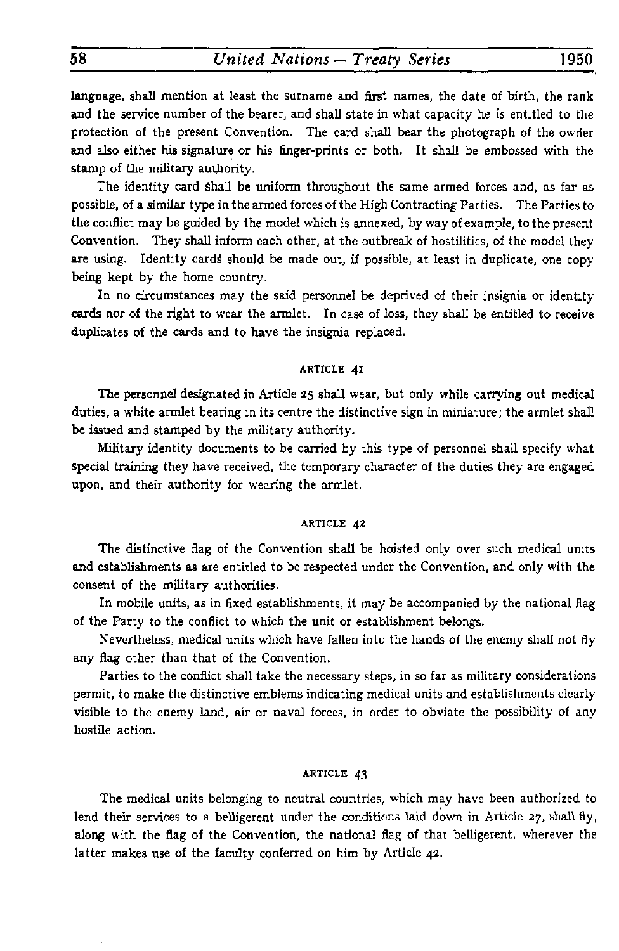language, shall mention at least the surname and first names, the date of birth, the rank and the service number of the bearer, and shall state in what capacity he is entitled to the protection of the present Convention. The card shall bear the photograph of the owrier and also either his signature or his finger-prints or both. It shall be embossed with the stamp of the military authority.

The identity card shall be uniform throughout the same armed forces and, as far as possible, of a similar type in the armed forces of the High Contracting Parties. The Parties to the conflict may be guided by the model which is annexed, by way of example, to the present Convention. They shall inform each other, at the outbreak of hostilities, of the model they are using. Identity cards' should be made out, if possible, at least in duplicate, one copy being kept by the home country.

In no circumstances may the said personnel be deprived of their insignia or identity cards nor of the right to wear the armlet. In case of loss, they shall be entitled to receive duplicates of the cards and to have the insignia replaced.

#### ARTICLE 41

The personnel designated in Article 25 shall wear, but only while carrying out medical duties, a white armlet bearing in its centre the distinctive sign in miniature; the armlet shall be issued and stamped by the military authority.

Military identity documents to be carried by this type of personnel shall specify what special training they have received, the temporary character of the duties they are engaged upon, and their authority for wearing the armlet.

#### ARTICLE 42

The distinctive flag of the Convention shall be hoisted only over such medical units and establishments as are entitled to be respected under the Convention, and only with the consent of the military authorities.

In mobile units, as in fixed establishments, it may be accompanied by the national flag of the Party to the conflict to which the unit or establishment belongs.

Nevertheless, medical units which have fallen into the hands of the enemy shall not fly any flag other than that of the Convention.

Parties to the conflict shall take the necessary steps, in so far as military considerations permit, to make the distinctive emblems indicating medical units and establishments clearly visible to the enemy land, air or naval forces, in order to obviate the possibility of any hostile action.

#### ARTICLE 43

The medical units belonging to neutral countries, which may have been authorized to lend their services to a belligerent under the conditions laid down in Article 27, shall fly, along with the flag of the Convention, the national flag of that belligerent, wherever the latter makes use of the faculty conferred on him by Article 42.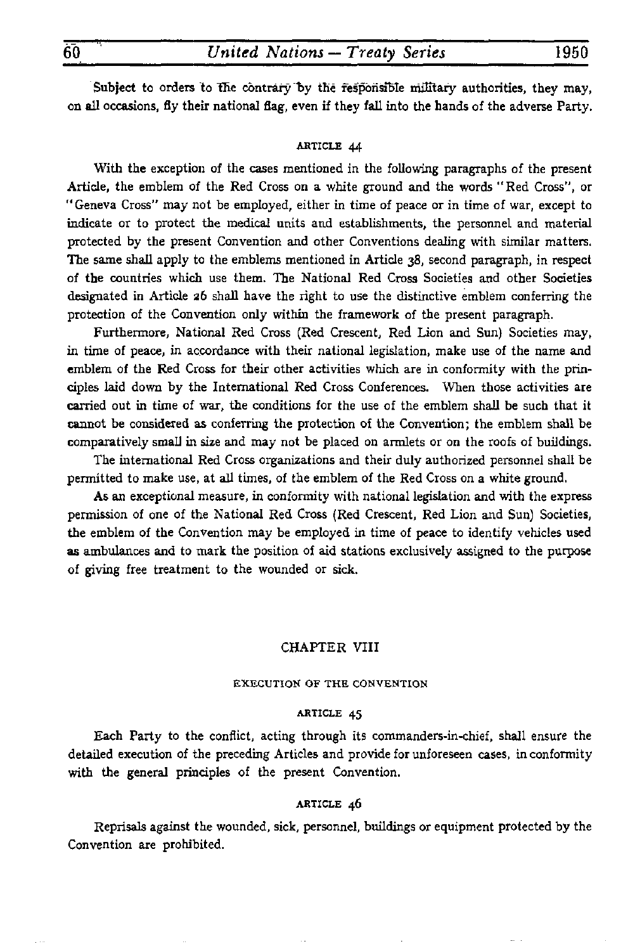## **60 \_\_\_\_\_\_\_\_***United Nations — Treaty Series*\_\_\_\_\_\_\_\_1950

Subject to orders to the contrary by the responsible military authorities, they may, on all occasions, fly their national flag, even if they fall into the hands of the adverse Party.

#### ARTICLE 44

With the exception of the cases mentioned in the following paragraphs of the present Article, the emblem of the Red Cross on a white ground and the words "Red Cross", or "Geneva Cross" may not be employed, either in time of peace or in time of war, except to indicate or to protect the medical units and establishments, the personnel and material protected by the present Convention and other Conventions dealing with similar matters. The same shall apply to the emblems mentioned in Article 38, second paragraph, in respect of the countries which use them. The National Red Cross Societies and other Societies designated in Article 26 shall have the right to use the distinctive emblem conferring the protection of the Convention only within the framework of the present paragraph.

Furthermore, National Red Cross (Red Crescent, Red Lion and Sun) Societies may, in time of peace, in accordance with their national legislation, make use of the name and emblem of the Red Cross for their other activities which are in conformity with the prin ciples laid down by the International Red Cross Conferences. When those activities are carried out in time of war, the conditions for the use of the emblem shall be such that it cannot be considered as conferring the protection of the Convention; the emblem shall be comparatively small in size and may not be placed on armlets or on the roofs of buildings.

The international Red Cross organizations and their duly authorized personnel shall be permitted to make use, at all times, of the emblem of the Red Cross on a white ground.

As an exceptional measure, in conformity with national legislation and with the express permission of one of the National Red Cross (Red Crescent, Red Lion and Sun) Societies, the emblem of the Convention may be employed in time of peace to identify vehicles used as ambulances and to mark the position of aid stations exclusively assigned to the purpose of giving free treatment to the wounded or sick.

#### CHAPTER VIII

#### EXECUTION OF THE CONVENTION

#### ARTICLE **45**

Each Party to the conflict, acting through its commanders-in-chief, shall ensure the detailed execution of the preceding Articles and provide for unforeseen cases, in conformity with the general principles of the present Convention.

#### ARTICLE 46

Reprisals against the wounded, sick, personnel, buildings or equipment protected by the Convention are prohibited.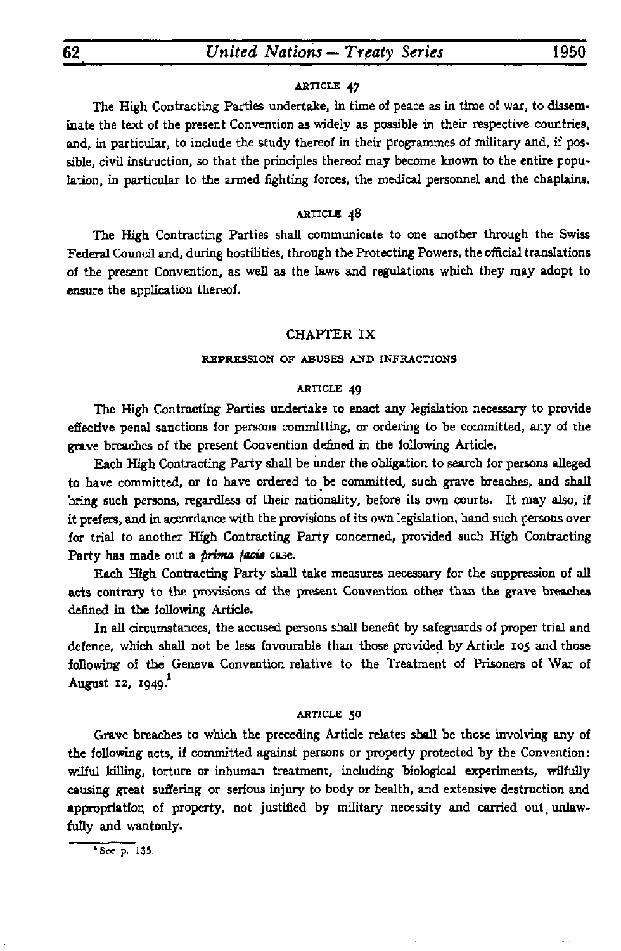## 62 \_\_\_\_\_\_\_\_\_*United Nations — Treaty Series*\_\_\_\_\_\_\_\_1950

#### ARTICLE **47**

The High Contracting Parties undertake, in time of peace as in time of war, to dissem inate the text of the present Convention as widely as possible in their respective countries, and, in particular, to include the study thereof in their programmes of military and, if pos sible, civil instruction, so that the principles thereof may become known to the entire popu lation, in particular to the armed fighting forces, the medical personnel and the chaplains.

## ARTICLE 48

The High Contracting Parties shall communicate to one another through the Swiss Federal Council and, during hostilities, through the Protecting Powers, the official translations of the present Convention, as well as the laws and regulations which they may adopt to ensure the application thereof.

#### CHAPTER IX

#### REPRESSION OF ABUSES AND INFRACTIONS

#### ARTICLE 49

The High Contracting Parties undertake to enact any legislation necessary to provide effective penal sanctions for persons committing, or ordering to be committed, any of the grave breaches of the present Convention denned in the following Article.

Each High Contracting Party shall be under the obligation to search for persons alleged to have committed, or to have ordered to be committed, such grave breaches, and shall bring such persons, regardless of their nationality, before its own courts. It may also, if it prefers, and in accordance with the provisions of its own legislation, hand such persons over for trial to another High Contracting Party concerned, provided such High Contracting Party has made out a *prima fade* case.

Each High Contracting Party shall take measures necessary for the suppression of all acts contrary to the provisions of the present Convention other than the grave breaches defined in the following Article.

In all circumstances, the accused persons shall benefit by safeguards of proper trial and defence, which shall not be less favourable than those provided by Article 105 and those following of the Geneva Convention relative to the Treatment of Prisoners of War of August 12, 1949.\*

### ARTICLE 50

Grave breaches to which the preceding Article relates shall be those involving any of the following acts, if committed against persons or property protected by the Convention : wilful killing, torture or inhuman treatment, including biological experiments, wilfully causing great suffering or serious injury to body or health, and extensive destruction and appropriation of property, not justified by military necessity and carried out unlawfully and wantonly.

 $Sere$  p. 135.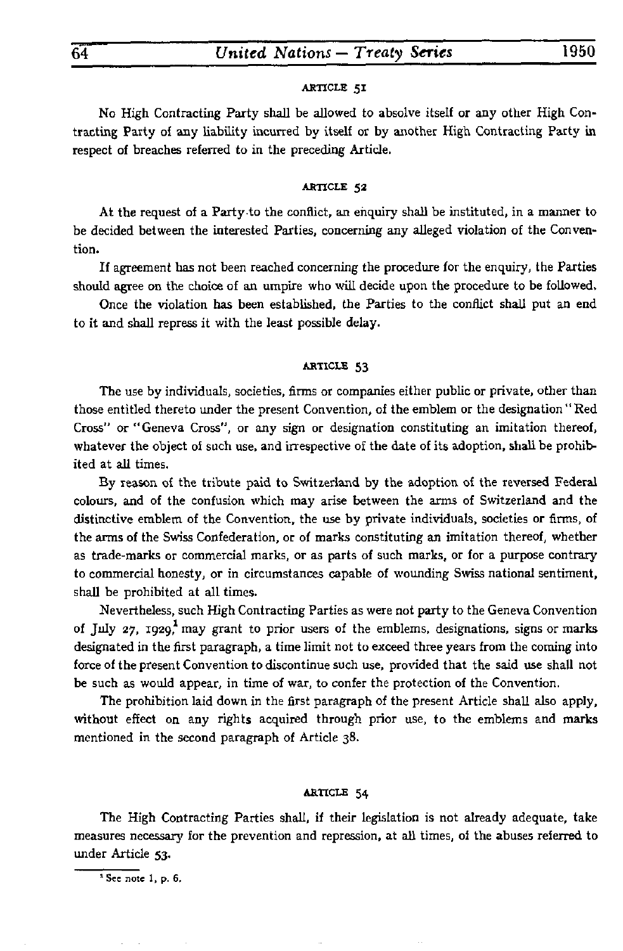No High Contracting Party shall be allowed to absolve itself or any other High Con tracting Party of any liability incurred by itself or by another High Contracting Party in respect of breaches referred to in the preceding Article.

#### ARTICLE 52

At the request of a Party to the conflict, an enquiry shall be instituted, in a manner to be decided between the interested Parties, concerning any alleged violation of the Conven tion.

If agreement has not been reached concerning the procedure for the enquiry, the Parties should agree on the choice of an umpire who will decide upon the procedure to be followed.

Once the violation has been established, the Parties to the conflict shall put an end to it and shall repress it with the least possible delay.

#### ARTICLE 53

The use by individuals, societies, firms or companies either public or private, other than those entitled thereto under the present Convention, of the emblem or the designation "Red Cross" or "Geneva Cross", or any sign or designation constituting an imitation thereof, whatever the object of such use, and irrespective of the date of its adoption, shall be prohib ited at all times.

By reason of the tribute paid to Switzerland by the adoption of the reversed Federal colours, and of the confusion which may arise between the arms of Switzerland and the distinctive emblem of the Convention, the use by private individuals, societies or firms, of the arms of the Swiss Confederation, or of marks constituting an imitation thereof, whether as trade-marks or commercial marks, or as parts of such marks, or for a purpose contrary to commercial honesty, or in circumstances capable of wounding Swiss national sentiment, shall be prohibited at all times.

Nevertheless, such High Contracting Parties as were not party to the Geneva Convention of July 27, 1929, may grant to prior users of the emblems, designations, signs or marks designated in the first paragraph, a time limit not to exceed three years from the coming into force of the present Convention to discontinue such use, provided that the said use shall not be such as would appear, in time of war, to confer the protection of the Convention.

The prohibition laid down in the first paragraph of the present Article shall also apply, without effect on any rights acquired through prior use, to the emblems and marks mentioned in the second paragraph of Article 38.

#### ARTICLE 54

The High Contracting Parties shall, if their legislation is not already adequate, **take**  measures necessary for the prevention and repression, at all times, of the abuses referred to under Article **53.** 

 $\sqrt[3]{\text{Sec note 1, p. 6}}$ .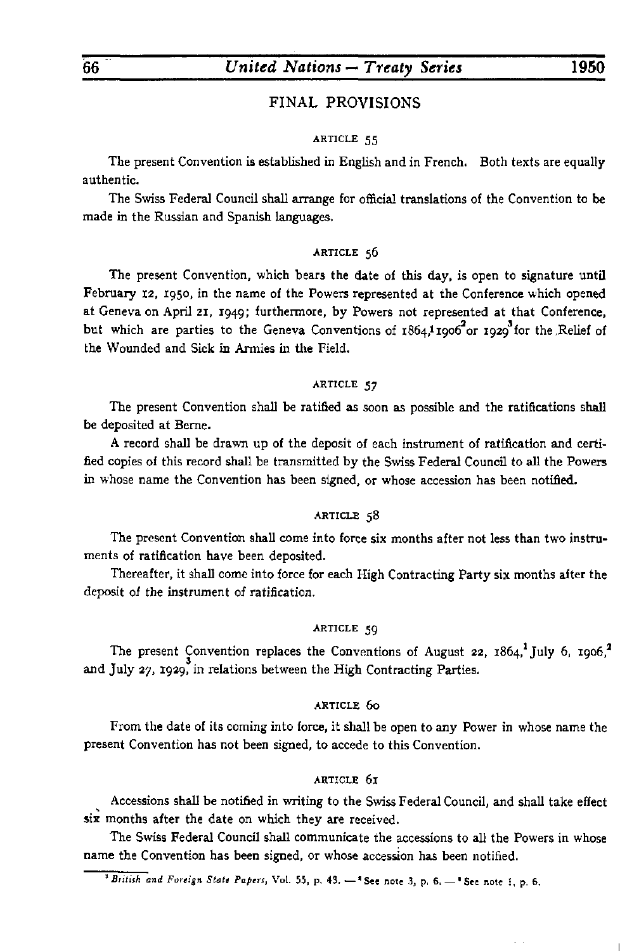## FINAL PROVISIONS

#### ARTICLE **55**

The present Convention is established in English and in French. Both texts are equally authentic.

The Swiss Federal Council shall arrange for official translations of the Convention to be made in the Russian and Spanish languages.

#### **ARTICLE 56**

The present Convention, which bears the date of this day, is open to signature until February 12, 1950, in the name of the Powers represented at the Conference which opened at Geneva on April 21, 1949; furthermore, by Powers not represented at that Conference, but which are parties to the Geneva Conventions of  $x864,11906^2$ or  $x929^3$  for the Relief of the Wounded and Sick in Armies in the Field.

#### ARTICLE **57**

The present Convention shall be ratified as soon as possible and the ratifications shall be deposited at Berne.

A record shall be drawn up of the deposit of each instrument of ratification and certi fied copies of this record shall be transmitted by the Swiss Federal Council to all the Powers in whose name the Convention has been signed, or whose accession has been notified.

#### ARTICLE **58**

The present Convention shall come into force six months after not less than two instru ments of ratification have been deposited.

Thereafter, it shall come into force for each High Contracting Party six months after the deposit of the instrument of ratification.

#### ARTICLE 59

The present Convention replaces the Conventions of August 22,  $1864$ , July 6,  $1906$ , and July 27, 1929, in relations between the High Contracting Parties.

#### ARTICLE **00**

From the date of its coming into force, it shall be open to any Power in whose name the present Convention has not been signed, to accede to this Convention.

#### ARTICLE 61

Accessions shall be notified in writing to the Swiss Federal Council, and shall take effect six months after the date on which they are received.

The Swiss Federal Council shall communicate the accessions to all the Powers in whose name the Convention has been signed, or whose accession has been notified.

*<sup>1</sup> British and Foreign Statt Papers,* Vol. 55, p, 43. —'Sec note 3, p. 6. — 'See note Î, p. 6.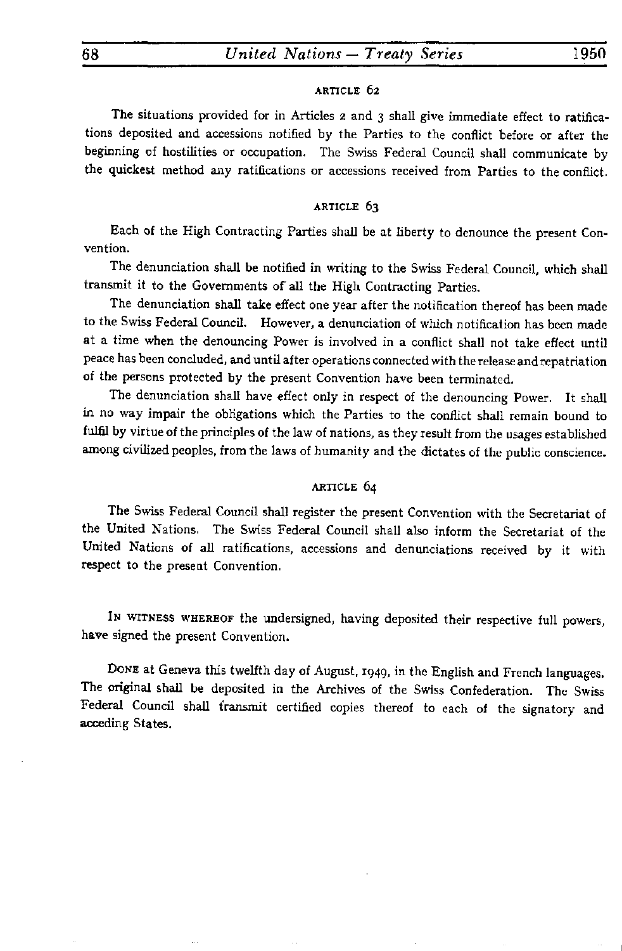The situations provided for in Articles 2 and 3 shall give immediate effect to ratifications deposited and accessions notified by the Parties to the conflict before or after the beginning of hostilities or occupation. The Swiss Federal Council shall communicate by the quickest method any ratifications or accessions received from Parties to the conflict.

#### ARTICLE 63

Each of the High Contracting Parties shall be at liberty to denounce the present Con vention.

The denunciation shall be notified in writing to the Swiss Federal Council, which shall transmit it to the Governments of all the High Contracting Parties,

The denunciation shall take effect one year after the notification thereof has been made to the Swiss Federal Council. However, a denunciation of which notification has been made at a time when the denouncing Power is involved in a conflict shall not take effect until peace has been concluded, and until after operations connected with the release and repatriation of the persons protected by the present Convention have been terminated,

The denunciation shall have effect only in respect of the denouncing Power. It shall in no way impair the obligations which the Parties to the conflict shall remain bound to fulfil by virtue of the principles of the law of nations, as they result from the usages established among civilized peoples, from the laws of humanity and the dictates of the public conscience.

## **ARTICLE 64**

The Swiss Federal Council shall register the present Convention with the Secretariat of the United Nations. The Swiss Federal Council shall also inform the Secretariat of the United Nations of all ratifications, accessions and denunciations received by it with respect to the present Convention.

IN WITNESS WHEREOF the undersigned, having deposited their respective full powers, have signed the present Convention.

DONE at Geneva this twelfth day of August, 1949, in the English and French languages. The original shall be deposited in the Archives of the Swiss Confederation. The Swiss Federal Council shall transmit certified copies thereof to each of the signatory and acceding States.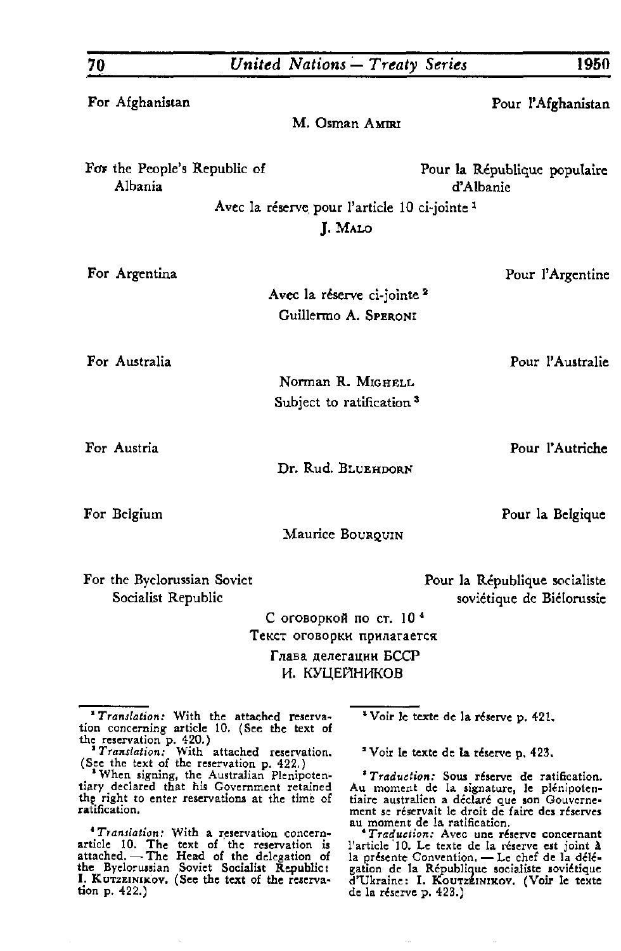| 70                                                | United Nations - Treaty Series<br>1950                              |  |
|---------------------------------------------------|---------------------------------------------------------------------|--|
| For Afghanistan                                   | Pour l'Afghanistan                                                  |  |
|                                                   | M. Osman AMIRI                                                      |  |
| For the People's Republic of<br>Albania           | Pour la République populaire<br>d'Albanie                           |  |
|                                                   | Avec la réserve pour l'article 10 ci-jointe 1                       |  |
|                                                   | J. MALO                                                             |  |
| For Argentina                                     | Pour l'Argentine                                                    |  |
|                                                   | Avec la reserve ci-jointe <sup>2</sup>                              |  |
|                                                   | Guillermo A. SPERONI                                                |  |
| For Australia                                     | Pour l'Australie                                                    |  |
|                                                   | Norman R. MIGHELL                                                   |  |
|                                                   | Subject to ratification <sup>3</sup>                                |  |
| For Austria                                       | Pour l'Autriche                                                     |  |
|                                                   | Dr. Rud. BLUEHDORN                                                  |  |
| For Belgium                                       | Pour la Belgique                                                    |  |
|                                                   | Maurice Bourquin                                                    |  |
| For the Byelorussian Soviet<br>Socialist Republic | Pour la République socialiste<br>soviétique de Biélorussie          |  |
|                                                   | С оговоркой по ст. 10 4                                             |  |
|                                                   | Текст оговорки прилагается<br>Глава делегации БССР<br>И. КУЦЕЙНИКОВ |  |
|                                                   |                                                                     |  |

<sup>1</sup>Translation: With the attached reserva-<br>tion concerning article 10. (See the text of the reservation p. 420.)

attached. — The Head of the delegation of la présente Convention. — Le chef de la délé the Byelorussian Soviet Socialist Republic; gation de la République socialiste soviétique I. KUTZEINIK'OV. (See the text of the reserva d'Ukraine: I. KOUTZEINIKOV. (Voir le texte tion p. 422.) de la réserve p. 423.)

When signing, the Australian Plenipoten-<br>tiary declared that his Government retained<br>the right to enter reservations at the time of<br>the right to enter reservations at the time of<br>taire australien a déclaré que son Gouverne

<sup>1</sup>*Translation;* With attached reservation. *\** Voir le texte de la réserve p. 423. (See the text of the reservation p. 422.)<br>When signing, the Australian Plenipoten-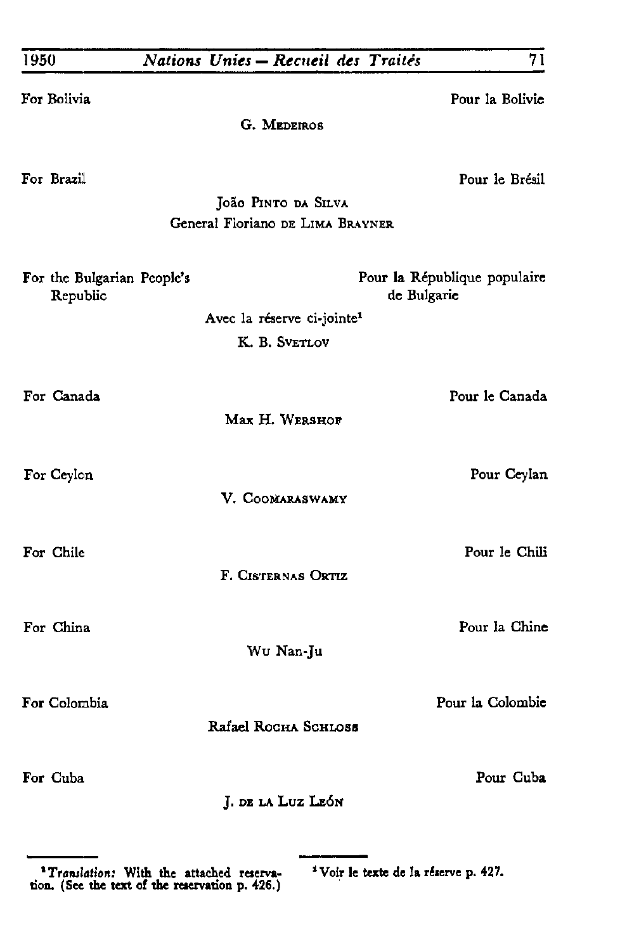| 1950                                   | Nations Unies - Recueil des Traités    | 71                                          |
|----------------------------------------|----------------------------------------|---------------------------------------------|
| For Bolivia                            |                                        | Pour la Bolivie                             |
|                                        | G. MEDEIROS                            |                                             |
| For Brazil                             |                                        | Pour le Brésil                              |
|                                        | João PINTO DA SILVA                    |                                             |
|                                        | General Floriano DE LIMA BRAYNER       |                                             |
| For the Bulgarian People's<br>Republic |                                        | Pour la République populaire<br>de Bulgarie |
|                                        | Avec la réserve ci-jointe <sup>1</sup> |                                             |
|                                        | K. B. SVETLOV                          |                                             |
| For Canada                             |                                        | Pour le Canada                              |
|                                        | Max H. WERSHOF                         |                                             |
|                                        |                                        |                                             |
| For Ceylon                             |                                        | Pour Ceylan                                 |
|                                        | V. COOMARASWAMY                        |                                             |
|                                        |                                        |                                             |
| For Chile                              |                                        | Pour le Chili                               |
|                                        | F. CISTERNAS ORTIZ                     |                                             |
| For China                              |                                        | Pour la Chine                               |
|                                        | Wu Nan-Ju                              |                                             |
|                                        |                                        |                                             |
| For Colombia                           |                                        | Pour la Colombie                            |
|                                        | Rafael ROCHA SCHLOSS                   |                                             |
|                                        |                                        |                                             |
| For Cuba                               |                                        | Pour Cuba                                   |
|                                        | J. DE LA LUZ LEÓN                      |                                             |
|                                        |                                        |                                             |
|                                        |                                        |                                             |

<sup>1</sup> Translation: With the attached reserva- <sup>1</sup> Voir le texte de la réserve p. 427. tion. (See the text of the reservation p. 426.)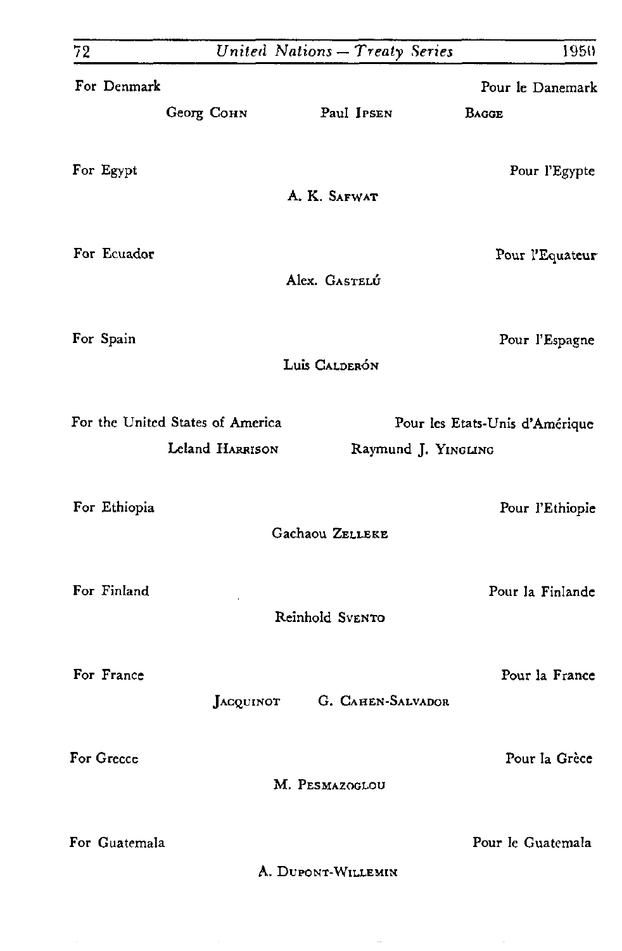| 72            |                                                     | United Nations - Treaty Series | 1950                             |
|---------------|-----------------------------------------------------|--------------------------------|----------------------------------|
| For Denmark   | Georg COHN                                          | Paul IPSEN                     | Pour le Danemark<br><b>BAGGE</b> |
| For Egypt     |                                                     | A. K. SAFWAT                   | Pour l'Egypte                    |
| For Ecuador   |                                                     | Alex. GASTELÚ                  | Pour l'Equateur                  |
| For Spain     |                                                     | Luis CALDERÓN                  | Pour l'Espagne                   |
|               | For the United States of America<br>Leland HARRISON | Raymund J. YINGLING            | Pour les Etats-Unis d'Amérique   |
| For Ethiopia  |                                                     | Gachaou ZELLEKE                | Pour l'Ethiopie                  |
| For Finland   |                                                     | Reinhold SVENTO                | Pour la Finlande                 |
| For France    | JACQUINOT                                           | G. CAHEN-SALVADOR              | Pour la France                   |
| For Grecce    |                                                     | M. PESMAZOGLOU                 | Pour la Grèce                    |
| For Guatemala |                                                     | A. DUPONT-WILLEMIN             | Pour le Guatemala                |

 $\overline{\phantom{a}}$ 

 $\bar{z}$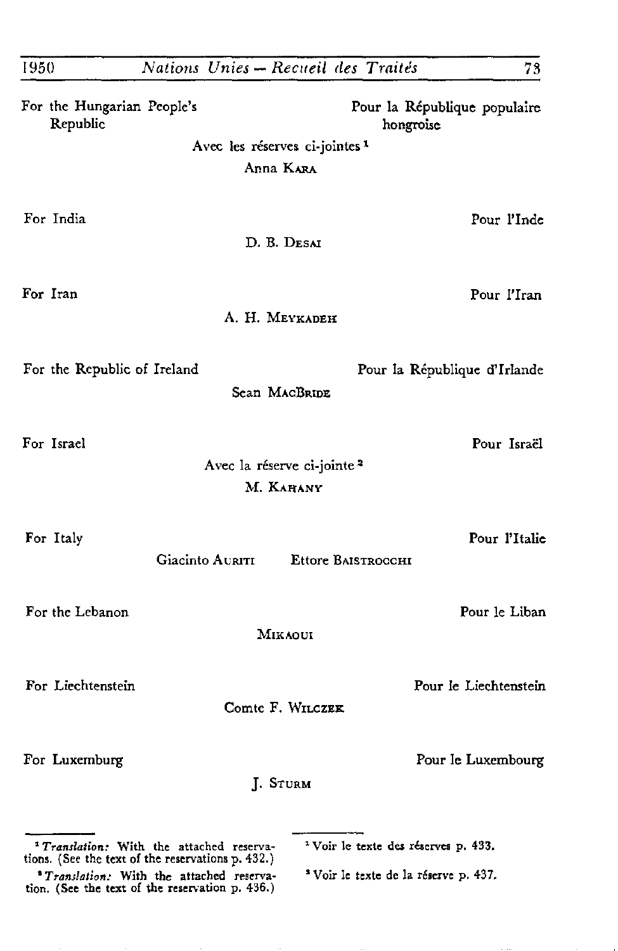| 1950 |                                                                                                           |                 |                                | Nations Unies - Recueil des Traités             | 73                           |
|------|-----------------------------------------------------------------------------------------------------------|-----------------|--------------------------------|-------------------------------------------------|------------------------------|
|      | For the Hungarian People's<br>Republic                                                                    |                 |                                | Pour la République populaire<br>hongroise       |                              |
|      |                                                                                                           |                 | Avec les réserves ci-jointes 1 |                                                 |                              |
|      |                                                                                                           |                 | Anna KARA                      |                                                 |                              |
|      |                                                                                                           |                 |                                |                                                 |                              |
|      | For India                                                                                                 |                 |                                |                                                 | Pour l'Inde                  |
|      |                                                                                                           |                 | D. B. DESAI                    |                                                 |                              |
|      |                                                                                                           |                 |                                |                                                 |                              |
|      | For Iran                                                                                                  |                 |                                |                                                 | Pour l'Iran                  |
|      |                                                                                                           |                 | A. H. MEYKADEH                 |                                                 |                              |
|      |                                                                                                           |                 |                                |                                                 |                              |
|      |                                                                                                           |                 |                                |                                                 |                              |
|      | For the Republic of Ireland                                                                               |                 |                                |                                                 | Pour la République d'Irlande |
|      |                                                                                                           |                 | Sean MACBRIDE                  |                                                 |                              |
|      |                                                                                                           |                 |                                |                                                 |                              |
|      | For Israel                                                                                                |                 |                                |                                                 | Pour Israël                  |
|      |                                                                                                           |                 | Avec la réserve ci-jointe 2    |                                                 |                              |
|      |                                                                                                           |                 | M. KAHANY                      |                                                 |                              |
|      |                                                                                                           |                 |                                |                                                 |                              |
|      | For Italy                                                                                                 |                 |                                |                                                 | Pour l'Italie                |
|      |                                                                                                           | Giacinto AURITI |                                | Ettore BAISTROCCHI                              |                              |
|      |                                                                                                           |                 |                                |                                                 |                              |
|      | For the Lebanon                                                                                           |                 |                                |                                                 | Pour le Liban                |
|      |                                                                                                           |                 | MIKAOUI                        |                                                 |                              |
|      |                                                                                                           |                 |                                |                                                 |                              |
|      | For Liechtenstein                                                                                         |                 |                                |                                                 | Pour le Liechtenstein        |
|      |                                                                                                           |                 | Comte F. WILCZEK               |                                                 |                              |
|      |                                                                                                           |                 |                                |                                                 |                              |
|      |                                                                                                           |                 |                                |                                                 |                              |
|      | For Luxemburg                                                                                             |                 |                                |                                                 | Pour le Luxembourg           |
|      |                                                                                                           |                 | J. Sturm                       |                                                 |                              |
|      |                                                                                                           |                 |                                |                                                 |                              |
|      |                                                                                                           |                 |                                |                                                 |                              |
|      | <sup>1</sup> Translation: With the attached reserva-<br>tions. (See the text of the reservations p. 432.) |                 |                                | <sup>2</sup> Voir le texte des réserves p. 433. |                              |

**\*** *Translation:* **With the attached** réserva- **"Voir** le texte de la réserve **p.** 437. **tion. (Sec** the text **of** the **reservation p.** 436.)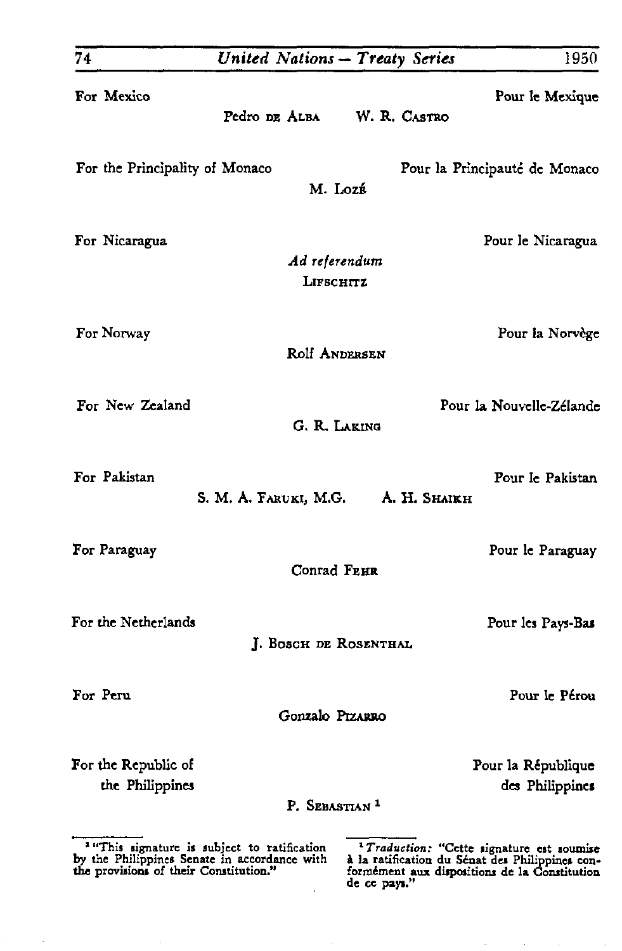| 74                                     | United Nations - Treaty Series        | 1950                                  |
|----------------------------------------|---------------------------------------|---------------------------------------|
| For Mexico                             | W. R. CASTRO<br>Pedro DE ALBA         | Pour le Mexique                       |
| For the Principality of Monaco         | M. Lozé                               | Pour la Principauté de Monaco         |
| For Nicaragua                          | Ad referendum<br>Lifschitz            | Pour le Nicaragua                     |
| For Norway                             | Rolf ANDERSEN                         | Pour la Norvège                       |
| For New Zealand                        | G. R. LAKING                          | Pour la Nouvelle-Zélande              |
| For Pakistan                           | S. M. A. Faruki, M.G.<br>A. H. SHAIKH | Pour le Pakistan                      |
| For Paraguay                           | Conrad FEHR                           | Pour le Paraguay                      |
| For the Netherlands                    | J. BOSCH DE ROSENTHAL                 | Pour les Pays-Bas                     |
| For Peru                               | Gonzalo Przarro                       | Pour le Pérou                         |
| For the Republic of<br>the Philippines | P. SEBASTIAN <sup>1</sup>             | Pour la République<br>des Philippines |

<sup>&</sup>lt;sup>1</sup> "This signature is subject to ratification <sup>1</sup> Traduction: "Cette signature est soumise by the Philippines Senate in accordance with à la ratification du Sénat des Philippines con-

the provisions of their Constitution." fermement aux dispositions de la Constitution de ce pays."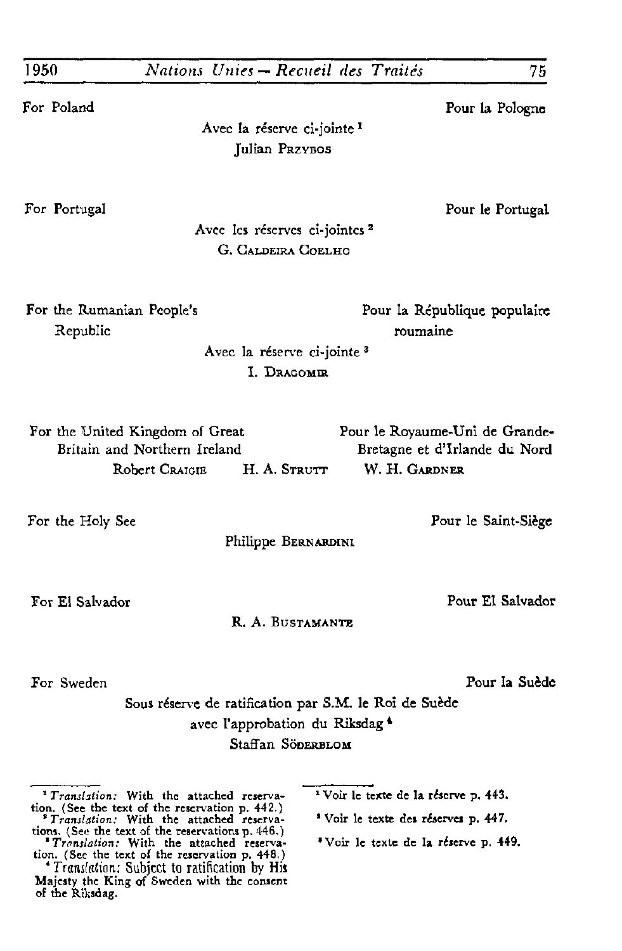| For Portugal                                                                      | Avee les réserves ci-jointes <sup>2</sup><br>G. CALDEIRA COELHO | Pour le Portugal                                                                 |
|-----------------------------------------------------------------------------------|-----------------------------------------------------------------|----------------------------------------------------------------------------------|
| For the Rumanian People's                                                         |                                                                 | Pour la République populaire<br>roumaine                                         |
| Republic                                                                          | Avec la réserve ci-jointe <sup>3</sup><br>I. DRAGOMIR           |                                                                                  |
| For the United Kingdom of Great<br>Britain and Northern Ireland<br>Robert Craigie | H. A. STRUTT                                                    | Pour le Royaume-Uni de Grande-<br>Bretagne et d'Irlande du Nord<br>W. H. GARDNER |
| For the Holy See                                                                  | Philippe BERNARDINI                                             | Pour le Saint-Siège                                                              |
| For El Salvador                                                                   | R. A. BUSTAMANTE                                                | Pour El Salvador                                                                 |

For Sweden **Pour la Suède** Pour la Suède et de la Suède de la Suède de la Suède de la Suède de la Suède de la Suède de la Suède de la Suède de la Suède de la Suède de la Suède de la Suède de la Suède de la Suède de la Suèd

Sous réserve de ratification par S.M. le Roî de Suède avec l'approbation du Riksdag \* Staffan SODERBLOM

tion. (See the text of the reservation p. 442.)<br>
<sup>\*</sup>Translation: With the attached reserva- <sup>\*</sup>Voir le texte des réserves p. 447, tions. (See the text of the reservations p. 446.)<br>
<sup>\*</sup>Tronslation: With the attached reserva-<br>
Voir le texte de la réserve p. 449. tion. (See the text of the reservation p. 448.)

\* Translation: Subject to ratification by His Majesty the King of Sweden with the consent of the Riksdag.

<sup>1</sup> Translation: With the attached reserva- <sup>1</sup> Voir le texte de la réserve p. 443.

Avec la réserve ci-jointe 1 Julian PRZYBOS

For Poland Pologne Pour la Pologne

1950 \_\_\_\_\_*Nations Unies* — *Recueil des Traités* <sup>75</sup>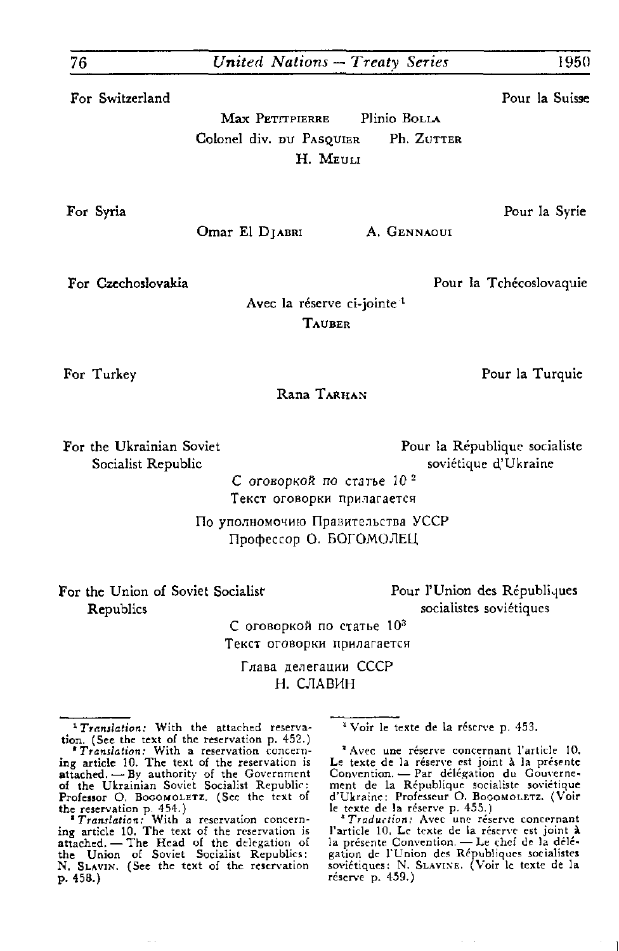## 76 *United Nations — Treaty Series* 1950

For Switzerland

Max PETTTPIERRE Plinio BOLLA Colonel div. DU PASQUIER Ph. ZUTTER H. MEULI

Omar El DJABRI A, GENNAOUI

Avec la réserve ci-jointe<sup>1</sup> **TAUBER** 

Rana TARHAN

For the Ukrainian Soviet **Pour la République socialiste** Socialist Republic soviétique d'Ukraine

> C oroBopKoft no craTbe 10 *~* Текст оговорки прилагается

По уполномочию Правительства УССР Профессор О. БОГОМОЛЕЦ

For the Union of Soviet Socialist Republics socialistes soviétiques

Pour l'Union des Républiques

C оговоркой по статье 10<sup>3</sup> Текст оговорки прилагается

Глава делегации СССР H. O1ABHH

<sup>1</sup> Translation: With the attached reservation. (See the text of the reservation p. 452.)

Professor O. BOGOMOLETZ. (See the text of<br>the reservation p. 454.)<br>"Translation: With a reservation concern-<br>ing article 10. The text of the reservation is<br>attached. — The Head of the delegation of<br>the Union of Soviet Soci p. 458.)

"Voir le texte de la réserve p, 453.

\* Avec une réserve concernant l'article 10. Le texte de la réserve est joint à la présente Convention. — Par délégation du Gouverne-ment de la République socialiste soviétique d'Ukraine: Professeur O. BOGOMOLETZ. (Voir

le texte de la réserve p. 455.)<br>
\* Traduction: Avec une réserve concernant<br>
l'article 10. Le texte de la réserve est joint à<br>
la présente Convention. — Le chef de la délé-<br>
gation de l'Union des Républiques socialistes<br>
so réserve p. 459.)

For Syria Pour la Syrie

**For Czechoslovakia Pour la Tchécoslovaquie** 

For Turkey **Pour la Turquie** Pour la Turquie

Pour la Suisse

*<sup>&#</sup>x27;Translation:* With a reservation concerning article 10. The text of the reservation is attached. — By authority of the Government of the Ukrainian Soviet Socialist Republic: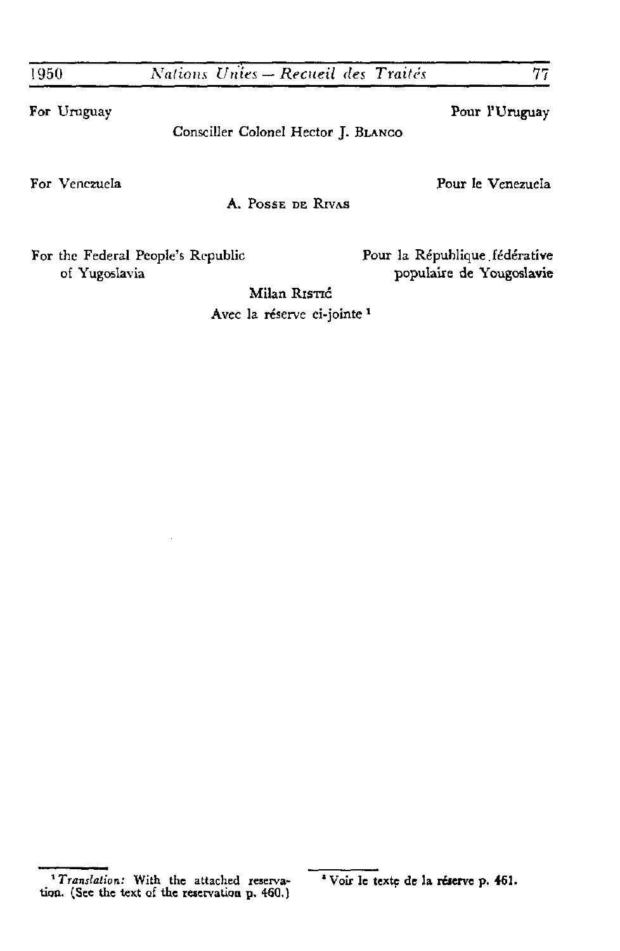1950 *Nations Unies — Recueil des Traités* 77

For Uruguay Pour l'Uruguay

Conseiller Colonel Hector J. BLANCO

For Venezuela Pour le Venezuela

A. POSSE DE RIVAS

of Yugoslavia populaire de Yougoslavie

For the Federal People's Republic Pour la République fédérative

Milan RISTIĆ Avec la réserve ci-jointe \*

**\_ <sup>t</sup>***Translation:* **With the attached réserva- 'Voir le texte de la réserve p. 461. tioo. (See the text of the reservation p. 460,}**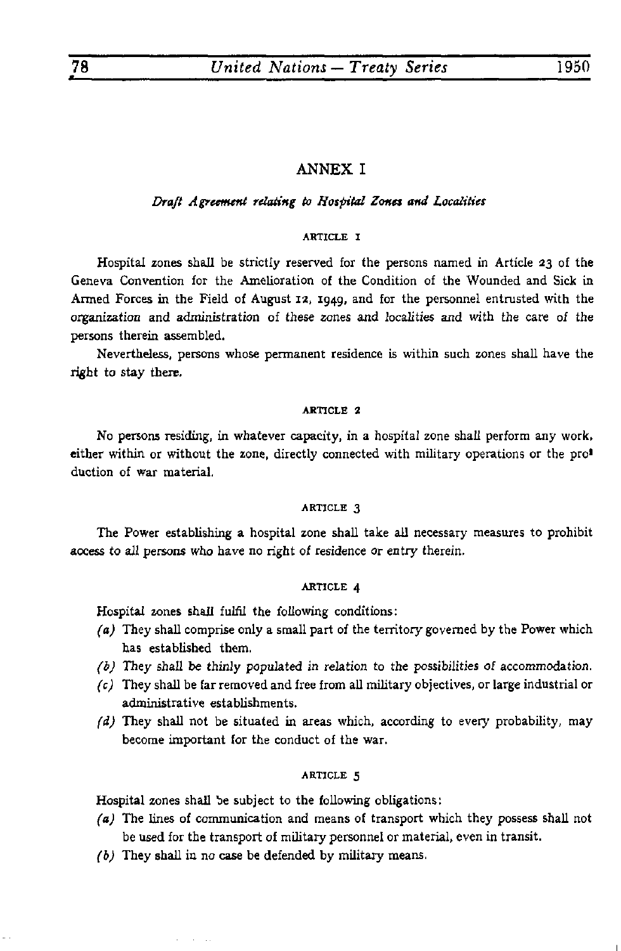## ANNEX I

## *Draft Agreement relating to Hospital Zones and Localities*

#### **ARTICLE I**

Hospital zones shall be strictly reserved for the persons named in Article 23 of the Geneva Convention for the Amelioration of the Condition of the Wounded and Sick in Armed Forces in the Field of August 12, 1949, and for the personnel entrusted with the organization and administration of these zones and localities and with the care of the persons therein assembled.

Nevertheless, persons whose permanent residence is within such zones shall have the right to stay there.

#### **ARTICLE 2**

No persons residing, in whatever capacity, in a hospital zone shall perform any work, either within or without the zone, directly connected with military operations or the pro<sup>1</sup> duction of war material.

#### ARTICLE 3

The Power establishing a hospital zone shall take all necessary measures to prohibit access to all persons who have no right of residence or entry therein.

### ARTICLE 4

Hospital zones shall fulfil the following conditions:

- *(a)* They shall comprise only a small part of the territory governed by the Power which has established them.
- *(b)* They shall be thinly populated in relation to the possibilities of accommodation.
- *(c)* They shall be far removed and free from all military objectives, or large industrial or administrative establishments.
- *(d)* They shall not be situated in areas which, according to every probability, may become important for the conduct of the war.

#### ARTICLE 5

Hospital zones shall be subject to the following obligations:

- *(a)* The lines of communication and means of transport which they possess shall not be used for the transport of military personnel or material, even in transit.
- *(o)* They shall in no case be defended by military means.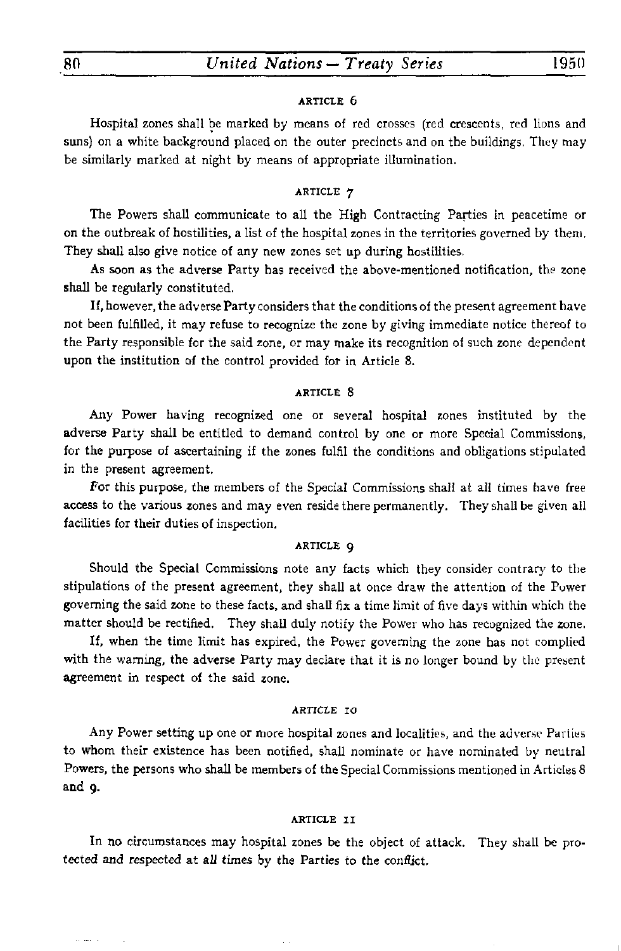Hospital zones shall be marked by means of red crosses (red crescents, red lions and suns) on a white background placed on the outer precincts and on the buildings, They may be similarly marked at night by means of appropriate illumination.

#### ARTICLE 7

The Powers shall communicate to all the High Contracting Parties in peacetime or on the outbreak of hostilities, a list of the hospital zones in the territories governed by them. They shall also give notice of any new zones set up during hostilities.

As soon as the adverse Party has received the above-mentioned notification, the zone shall be regularly constituted.

If, however, the adverse Party considers that the conditions of the present agreement have not been fulfilled, it may refuse to recognize the zone by giving immediate notice thereof to the Party responsible for the said zone, or may make its recognition of such zone dependent upon the institution of the control provided for in Article 8.

#### **ARTICLE 8**

Any Power having recognized one or several hospital zones instituted by the adverse Party shall be entitled to demand control by one or more Special Commissions, for the purpose of ascertaining if the zones fulfil the conditions and obligations stipulated in the present agreement.

For this purpose, the members of the Special Commissions shall at all times have free access to the various zones and may even reside there permanently. They shall be given all facilities for their duties of inspection.

#### ARTICLE 9

Should the Special Commissions note any facts which they consider contrary to the stipulations of the present agreement, they shall at once draw the attention of the Power governing the said zone to these facts, and shall fix a time limit of five days within which the matter should be rectified. They shall duly notify the Power who has recognized the zone.

If, when the time limit has expired, the Power governing the zone has not complied with the warning, the adverse Party may declare that it is no longer bound by the present agreement in respect of the said zone.

#### ARTICLE 10

Any Power setting up one or more hospital zones and localities, and the adverse Parties to whom their existence has been notified, shall nominate or have nominated by neutral Powers, the persons who shall be members of the Special Commissions mentioned in Articles 8 and 9.

#### **ARTICLE II**

In no circumstances may hospital zones be the object of attack. They shall be pro tected and respected at all times by the Parties to the conflict.